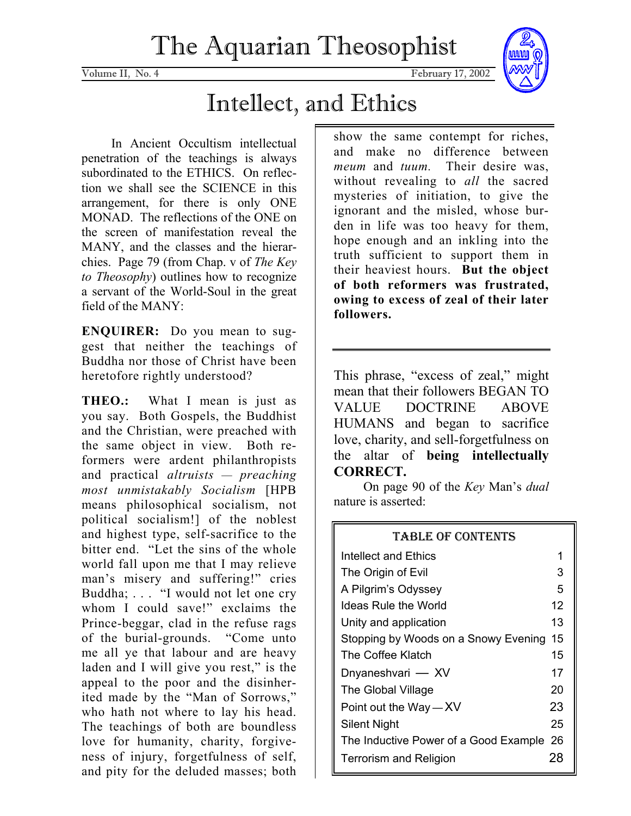Volume II, No. 4 February 17, 2002

# Intellect, and Ethics

In Ancient Occultism intellectual penetration of the teachings is always subordinated to the ETHICS. On reflection we shall see the SCIENCE in this arrangement, for there is only ONE MONAD. The reflections of the ONE on the screen of manifestation reveal the MANY, and the classes and the hierarchies. Page 79 (from Chap. v of *The Key to Theosophy*) outlines how to recognize a servant of the World-Soul in the great field of the MANY:

**ENQUIRER:** Do you mean to suggest that neither the teachings of Buddha nor those of Christ have been heretofore rightly understood?

**THEO.:** What I mean is just as you say. Both Gospels, the Buddhist and the Christian, were preached with the same object in view. Both reformers were ardent philanthropists and practical *altruists — preaching most unmistakably Socialism* [HPB means philosophical socialism, not political socialism!] of the noblest and highest type, self-sacrifice to the bitter end. "Let the sins of the whole world fall upon me that I may relieve man's misery and suffering!" cries Buddha; . . . "I would not let one cry whom I could save!" exclaims the Prince-beggar, clad in the refuse rags of the burial-grounds. "Come unto me all ye that labour and are heavy laden and I will give you rest," is the appeal to the poor and the disinherited made by the "Man of Sorrows," who hath not where to lay his head. The teachings of both are boundless love for humanity, charity, forgiveness of injury, forgetfulness of self, and pity for the deluded masses; both

L show the same contempt for riches, and make no difference between *meum* and *tuum.* Their desire was, without revealing to *all* the sacred mysteries of initiation, to give the ignorant and the misled, whose burden in life was too heavy for them, hope enough and an inkling into the truth sufficient to support them in their heaviest hours. **But the object of both reformers was frustrated, owing to excess of zeal of their later followers.**

This phrase, "excess of zeal," might mean that their followers BEGAN TO VALUE DOCTRINE ABOVE HUMANS and began to sacrifice love, charity, and sell-forgetfulness on the altar of **being intellectually CORRECT.**

On page 90 of the *Key* Man's *dual*  nature is asserted:

### TABLE OF CONTENTS

| <b>Intellect and Ethics</b>              |    |
|------------------------------------------|----|
| The Origin of Evil                       | 3  |
| A Pilgrim's Odyssey                      | 5  |
| Ideas Rule the World                     | 12 |
| Unity and application                    | 13 |
| Stopping by Woods on a Snowy Evening     | 15 |
| The Coffee Klatch                        | 15 |
| Dnyaneshvari - XV                        | 17 |
| The Global Village                       | 20 |
| Point out the Way - XV                   | 23 |
| <b>Silent Night</b>                      | 25 |
| The Inductive Power of a Good Example 26 |    |
| <b>Terrorism and Religion</b>            |    |

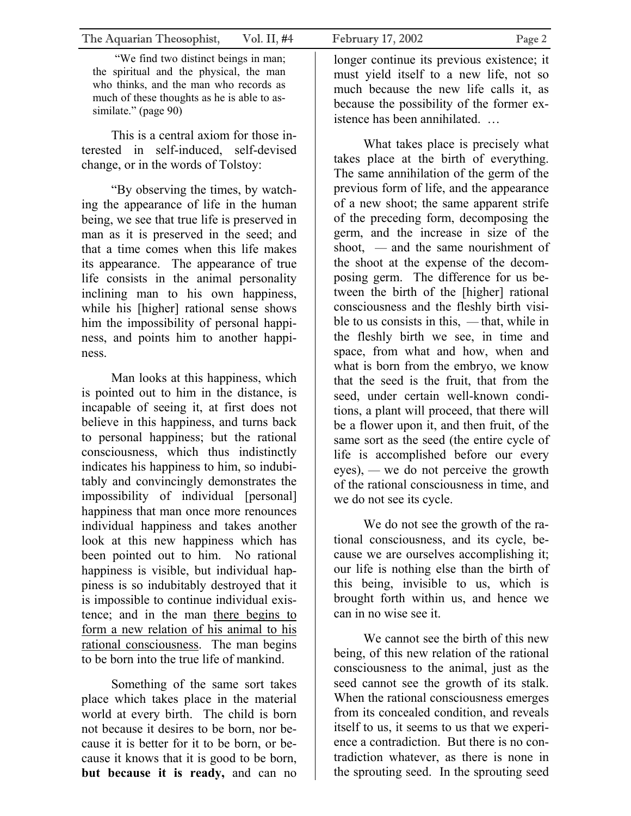"We find two distinct beings in man; the spiritual and the physical, the man who thinks, and the man who records as much of these thoughts as he is able to assimilate." (page 90)

This is a central axiom for those interested in self-induced, self-devised change, or in the words of Tolstoy:

"By observing the times, by watching the appearance of life in the human being, we see that true life is preserved in man as it is preserved in the seed; and that a time comes when this life makes its appearance. The appearance of true life consists in the animal personality inclining man to his own happiness, while his [higher] rational sense shows him the impossibility of personal happiness, and points him to another happiness.

Man looks at this happiness, which is pointed out to him in the distance, is incapable of seeing it, at first does not believe in this happiness, and turns back to personal happiness; but the rational consciousness, which thus indistinctly indicates his happiness to him, so indubitably and convincingly demonstrates the impossibility of individual [personal] happiness that man once more renounces individual happiness and takes another look at this new happiness which has been pointed out to him. No rational happiness is visible, but individual happiness is so indubitably destroyed that it is impossible to continue individual existence; and in the man there begins to form a new relation of his animal to his rational consciousness. The man begins to be born into the true life of mankind.

Something of the same sort takes place which takes place in the material world at every birth. The child is born not because it desires to be born, nor because it is better for it to be born, or because it knows that it is good to be born, **but because it is ready,** and can no

longer continue its previous existence; it must yield itself to a new life, not so much because the new life calls it, as because the possibility of the former existence has been annihilated. …

What takes place is precisely what takes place at the birth of everything. The same annihilation of the germ of the previous form of life, and the appearance of a new shoot; the same apparent strife of the preceding form, decomposing the germ, and the increase in size of the shoot, — and the same nourishment of the shoot at the expense of the decomposing germ. The difference for us between the birth of the [higher] rational consciousness and the fleshly birth visible to us consists in this, — that, while in the fleshly birth we see, in time and space, from what and how, when and what is born from the embryo, we know that the seed is the fruit, that from the seed, under certain well-known conditions, a plant will proceed, that there will be a flower upon it, and then fruit, of the same sort as the seed (the entire cycle of life is accomplished before our every eyes), — we do not perceive the growth of the rational consciousness in time, and we do not see its cycle.

We do not see the growth of the rational consciousness, and its cycle, because we are ourselves accomplishing it; our life is nothing else than the birth of this being, invisible to us, which is brought forth within us, and hence we can in no wise see it.

We cannot see the birth of this new being, of this new relation of the rational consciousness to the animal, just as the seed cannot see the growth of its stalk. When the rational consciousness emerges from its concealed condition, and reveals itself to us, it seems to us that we experience a contradiction. But there is no contradiction whatever, as there is none in the sprouting seed. In the sprouting seed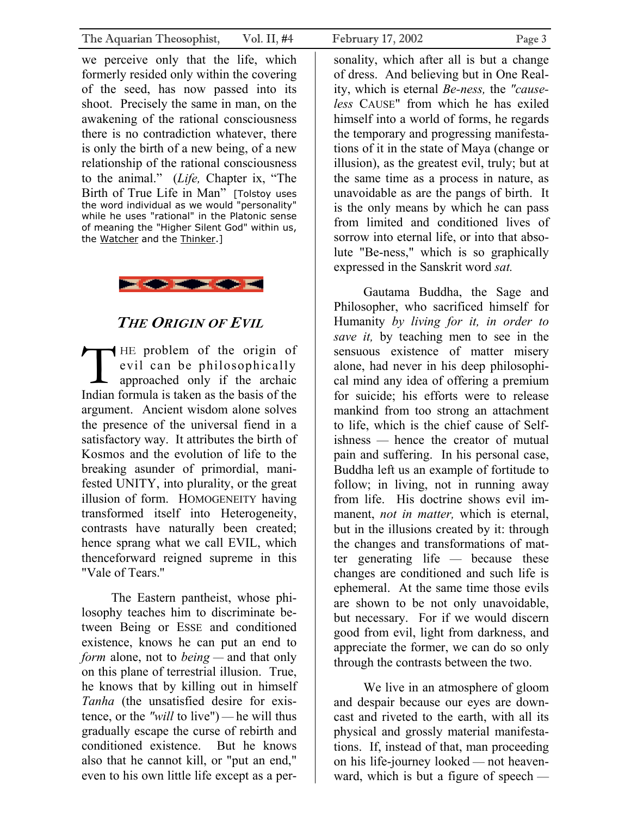we perceive only that the life, which formerly resided only within the covering of the seed, has now passed into its shoot. Precisely the same in man, on the awakening of the rational consciousness there is no contradiction whatever, there is only the birth of a new being, of a new relationship of the rational consciousness to the animal." (*Life,* Chapter ix, "The Birth of True Life in Man" [Tolstoy uses the word individual as we would "personality" while he uses "rational" in the Platonic sense of meaning the "Higher Silent God" within us, the Watcher and the Thinker.]



## **THE ORIGIN OF EVIL**

 $\blacktriangleleft$  HE problem of the origin of evil can be philosophically approached only if the archaic THE problem of the origin of<br>
evil can be philosophically<br>
approached only if the archaic<br>
Indian formula is taken as the basis of the argument. Ancient wisdom alone solves the presence of the universal fiend in a satisfactory way. It attributes the birth of Kosmos and the evolution of life to the breaking asunder of primordial, manifested UNITY, into plurality, or the great illusion of form. HOMOGENEITY having transformed itself into Heterogeneity, contrasts have naturally been created; hence sprang what we call EVIL, which thenceforward reigned supreme in this "Vale of Tears.''

The Eastern pantheist, whose philosophy teaches him to discriminate between Being or ESSE and conditioned existence, knows he can put an end to *form* alone, not to *being —* and that only on this plane of terrestrial illusion. True, he knows that by killing out in himself *Tanha* (the unsatisfied desire for existence, or the *"will* to live") — he will thus gradually escape the curse of rebirth and conditioned existence. But he knows also that he cannot kill, or "put an end," even to his own little life except as a personality, which after all is but a change of dress. And believing but in One Reality, which is eternal *Be-ness,* the *"causeless* CAUSE" from which he has exiled himself into a world of forms, he regards the temporary and progressing manifestations of it in the state of Maya (change or illusion), as the greatest evil, truly; but at the same time as a process in nature, as unavoidable as are the pangs of birth. It is the only means by which he can pass from limited and conditioned lives of sorrow into eternal life, or into that absolute "Be-ness," which is so graphically expressed in the Sanskrit word *sat.* 

Gautama Buddha, the Sage and Philosopher, who sacrificed himself for Humanity *by living for it, in order to save it,* by teaching men to see in the sensuous existence of matter misery alone, had never in his deep philosophical mind any idea of offering a premium for suicide; his efforts were to release mankind from too strong an attachment to life, which is the chief cause of Selfishness — hence the creator of mutual pain and suffering. In his personal case, Buddha left us an example of fortitude to follow; in living, not in running away from life. His doctrine shows evil immanent, *not in matter,* which is eternal, but in the illusions created by it: through the changes and transformations of matter generating life — because these changes are conditioned and such life is ephemeral. At the same time those evils are shown to be not only unavoidable, but necessary. For if we would discern good from evil, light from darkness, and appreciate the former, we can do so only through the contrasts between the two.

We live in an atmosphere of gloom and despair because our eyes are downcast and riveted to the earth, with all its physical and grossly material manifestations. If, instead of that, man proceeding on his life-journey looked — not heavenward, which is but a figure of speech —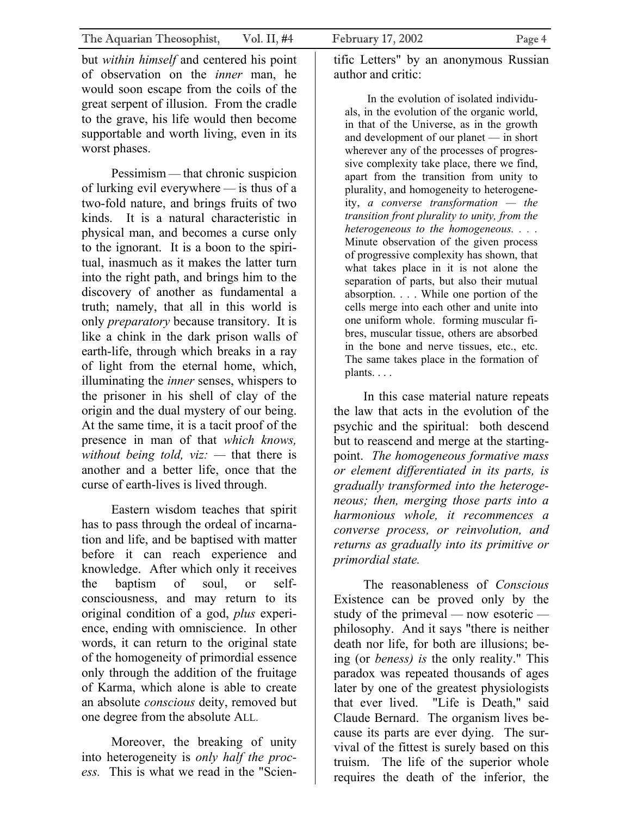but *within himself* and centered his point of observation on the *inner* man, he would soon escape from the coils of the great serpent of illusion. From the cradle to the grave, his life would then become supportable and worth living, even in its worst phases.

Pessimism — that chronic suspicion of lurking evil everywhere — is thus of a two-fold nature, and brings fruits of two kinds. It is a natural characteristic in physical man, and becomes a curse only to the ignorant. It is a boon to the spiritual, inasmuch as it makes the latter turn into the right path, and brings him to the discovery of another as fundamental a truth; namely, that all in this world is only *preparatory* because transitory. It is like a chink in the dark prison walls of earth-life, through which breaks in a ray of light from the eternal home, which, illuminating the *inner* senses, whispers to the prisoner in his shell of clay of the origin and the dual mystery of our being. At the same time, it is a tacit proof of the presence in man of that *which knows, without being told, viz: —* that there is another and a better life, once that the curse of earth-lives is lived through.

Eastern wisdom teaches that spirit has to pass through the ordeal of incarnation and life, and be baptised with matter before it can reach experience and knowledge. After which only it receives the baptism of soul, or selfconsciousness, and may return to its original condition of a god, *plus* experience, ending with omniscience. In other words, it can return to the original state of the homogeneity of primordial essence only through the addition of the fruitage of Karma, which alone is able to create an absolute *conscious* deity, removed but one degree from the absolute ALL.

Moreover, the breaking of unity into heterogeneity is *only half the process.* This is what we read in the "Scientific Letters" by an anonymous Russian author and critic:

In the evolution of isolated individuals, in the evolution of the organic world, in that of the Universe, as in the growth and development of our planet — in short wherever any of the processes of progressive complexity take place, there we find, apart from the transition from unity to plurality, and homogeneity to heterogeneity, *a converse transformation — the transition front plurality to unity, from the heterogeneous to the homogeneous. . . .*  Minute observation of the given process of progressive complexity has shown, that what takes place in it is not alone the separation of parts, but also their mutual absorption. . . . While one portion of the cells merge into each other and unite into one uniform whole. forming muscular fibres, muscular tissue, others are absorbed in the bone and nerve tissues, etc., etc. The same takes place in the formation of plants. . . .

In this case material nature repeats the law that acts in the evolution of the psychic and the spiritual: both descend but to reascend and merge at the startingpoint. *The homogeneous formative mass or element differentiated in its parts, is gradually transformed into the heterogeneous; then, merging those parts into a harmonious whole, it recommences a converse process, or reinvolution, and returns as gradually into its primitive or primordial state.* 

The reasonableness of *Conscious*  Existence can be proved only by the study of the primeval — now esoteric philosophy. And it says "there is neither death nor life, for both are illusions; being (or *beness) is* the only reality." This paradox was repeated thousands of ages later by one of the greatest physiologists that ever lived. "Life is Death," said Claude Bernard. The organism lives because its parts are ever dying. The survival of the fittest is surely based on this truism. The life of the superior whole requires the death of the inferior, the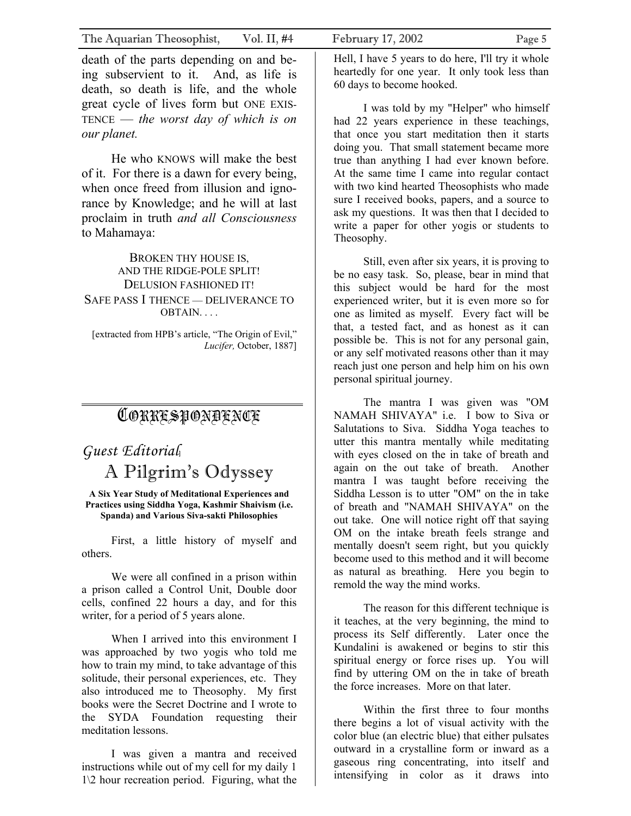death of the parts depending on and being subservient to it. And, as life is death, so death is life, and the whole great cycle of lives form but ONE EXIS-TENCE — *the worst day of which is on our planet.* 

He who KNOWS will make the best of it. For there is a dawn for every being, when once freed from illusion and ignorance by Knowledge; and he will at last proclaim in truth *and all Consciousness*  to Mahamaya:

BROKEN THY HOUSE IS, AND THE RIDGE-POLE SPLIT! DELUSION FASHIONED IT! SAFE PASS I THENCE — DELIVERANCE TO OBTAIN. . . .

[extracted from HPB's article, "The Origin of Evil,"  *Lucifer,* October, 1887]

# CORRESPONDENCE

# *Guest Editorial*] A Pilgrim's Odyssey

#### **A Six Year Study of Meditational Experiences and Practices using Siddha Yoga, Kashmir Shaivism (i.e. Spanda) and Various Siva-sakti Philosophies**

First, a little history of myself and others.

We were all confined in a prison within a prison called a Control Unit, Double door cells, confined 22 hours a day, and for this writer, for a period of 5 years alone.

When I arrived into this environment I was approached by two yogis who told me how to train my mind, to take advantage of this solitude, their personal experiences, etc. They also introduced me to Theosophy. My first books were the Secret Doctrine and I wrote to the SYDA Foundation requesting their meditation lessons.

I was given a mantra and received instructions while out of my cell for my daily 1 1\2 hour recreation period. Figuring, what the

Hell, I have 5 years to do here, I'll try it whole heartedly for one year. It only took less than 60 days to become hooked.

I was told by my "Helper" who himself had 22 years experience in these teachings, that once you start meditation then it starts doing you. That small statement became more true than anything I had ever known before. At the same time I came into regular contact with two kind hearted Theosophists who made sure I received books, papers, and a source to ask my questions. It was then that I decided to write a paper for other yogis or students to Theosophy.

Still, even after six years, it is proving to be no easy task. So, please, bear in mind that this subject would be hard for the most experienced writer, but it is even more so for one as limited as myself. Every fact will be that, a tested fact, and as honest as it can possible be. This is not for any personal gain, or any self motivated reasons other than it may reach just one person and help him on his own personal spiritual journey.

The mantra I was given was "OM NAMAH SHIVAYA" i.e. I bow to Siva or Salutations to Siva. Siddha Yoga teaches to utter this mantra mentally while meditating with eyes closed on the in take of breath and again on the out take of breath. Another mantra I was taught before receiving the Siddha Lesson is to utter "OM" on the in take of breath and "NAMAH SHIVAYA" on the out take. One will notice right off that saying OM on the intake breath feels strange and mentally doesn't seem right, but you quickly become used to this method and it will become as natural as breathing. Here you begin to remold the way the mind works.

The reason for this different technique is it teaches, at the very beginning, the mind to process its Self differently. Later once the Kundalini is awakened or begins to stir this spiritual energy or force rises up. You will find by uttering OM on the in take of breath the force increases. More on that later.

Within the first three to four months there begins a lot of visual activity with the color blue (an electric blue) that either pulsates outward in a crystalline form or inward as a gaseous ring concentrating, into itself and intensifying in color as it draws into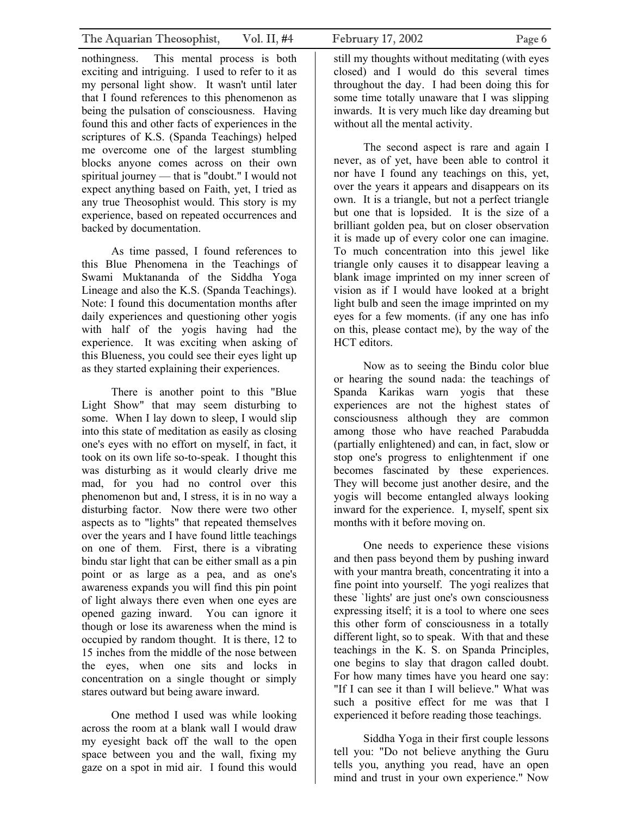nothingness. This mental process is both exciting and intriguing. I used to refer to it as my personal light show. It wasn't until later that I found references to this phenomenon as being the pulsation of consciousness. Having found this and other facts of experiences in the scriptures of K.S. (Spanda Teachings) helped me overcome one of the largest stumbling blocks anyone comes across on their own spiritual journey — that is "doubt." I would not expect anything based on Faith, yet, I tried as any true Theosophist would. This story is my experience, based on repeated occurrences and backed by documentation.

As time passed, I found references to this Blue Phenomena in the Teachings of Swami Muktananda of the Siddha Yoga Lineage and also the K.S. (Spanda Teachings). Note: I found this documentation months after daily experiences and questioning other yogis with half of the yogis having had the experience. It was exciting when asking of this Blueness, you could see their eyes light up as they started explaining their experiences.

There is another point to this "Blue Light Show" that may seem disturbing to some. When I lay down to sleep, I would slip into this state of meditation as easily as closing one's eyes with no effort on myself, in fact, it took on its own life so-to-speak. I thought this was disturbing as it would clearly drive me mad, for you had no control over this phenomenon but and, I stress, it is in no way a disturbing factor. Now there were two other aspects as to "lights" that repeated themselves over the years and I have found little teachings on one of them. First, there is a vibrating bindu star light that can be either small as a pin point or as large as a pea, and as one's awareness expands you will find this pin point of light always there even when one eyes are opened gazing inward. You can ignore it though or lose its awareness when the mind is occupied by random thought. It is there, 12 to 15 inches from the middle of the nose between the eyes, when one sits and locks in concentration on a single thought or simply stares outward but being aware inward.

One method I used was while looking across the room at a blank wall I would draw my eyesight back off the wall to the open space between you and the wall, fixing my gaze on a spot in mid air. I found this would

still my thoughts without meditating (with eyes closed) and I would do this several times throughout the day. I had been doing this for some time totally unaware that I was slipping inwards. It is very much like day dreaming but without all the mental activity.

The second aspect is rare and again I never, as of yet, have been able to control it nor have I found any teachings on this, yet, over the years it appears and disappears on its own. It is a triangle, but not a perfect triangle but one that is lopsided. It is the size of a brilliant golden pea, but on closer observation it is made up of every color one can imagine. To much concentration into this jewel like triangle only causes it to disappear leaving a blank image imprinted on my inner screen of vision as if I would have looked at a bright light bulb and seen the image imprinted on my eyes for a few moments. (if any one has info on this, please contact me), by the way of the HCT editors.

Now as to seeing the Bindu color blue or hearing the sound nada: the teachings of Spanda Karikas warn yogis that these experiences are not the highest states of consciousness although they are common among those who have reached Parabudda (partially enlightened) and can, in fact, slow or stop one's progress to enlightenment if one becomes fascinated by these experiences. They will become just another desire, and the yogis will become entangled always looking inward for the experience. I, myself, spent six months with it before moving on.

One needs to experience these visions and then pass beyond them by pushing inward with your mantra breath, concentrating it into a fine point into yourself. The yogi realizes that these `lights' are just one's own consciousness expressing itself; it is a tool to where one sees this other form of consciousness in a totally different light, so to speak. With that and these teachings in the K. S. on Spanda Principles, one begins to slay that dragon called doubt. For how many times have you heard one say: "If I can see it than I will believe." What was such a positive effect for me was that I experienced it before reading those teachings.

Siddha Yoga in their first couple lessons tell you: "Do not believe anything the Guru tells you, anything you read, have an open mind and trust in your own experience." Now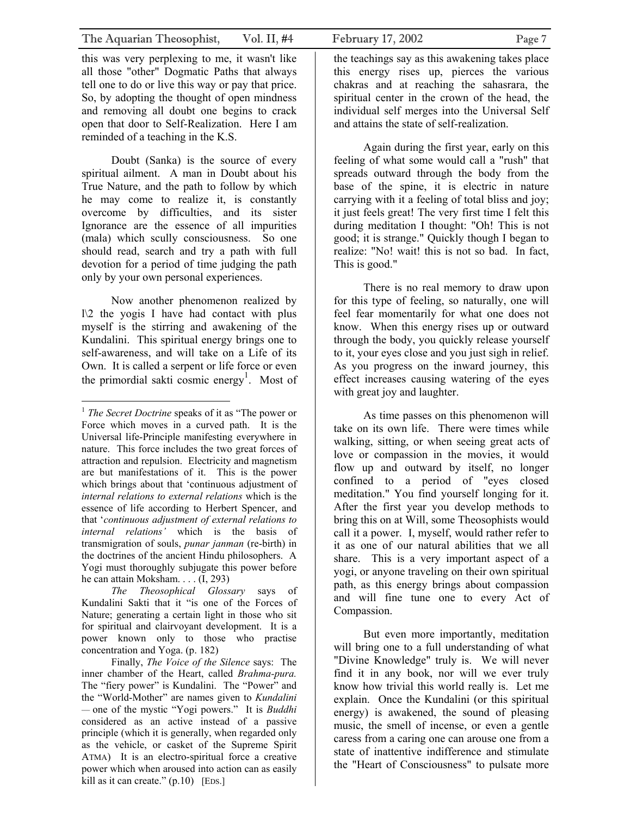this was very perplexing to me, it wasn't like all those "other" Dogmatic Paths that always tell one to do or live this way or pay that price. So, by adopting the thought of open mindness and removing all doubt one begins to crack open that door to Self-Realization. Here I am reminded of a teaching in the K.S.

Doubt (Sanka) is the source of every spiritual ailment. A man in Doubt about his True Nature, and the path to follow by which he may come to realize it, is constantly overcome by difficulties, and its sister Ignorance are the essence of all impurities (mala) which scully consciousness. So one should read, search and try a path with full devotion for a period of time judging the path only by your own personal experiences.

Now another phenomenon realized by l\2 the yogis I have had contact with plus myself is the stirring and awakening of the Kundalini. This spiritual energy brings one to self-awareness, and will take on a Life of its Own. It is called a serpent or life force or even the primordial sakti cosmic energy<sup>1</sup>. Most of

l

*The Theosophical Glossary* says of Kundalini Sakti that it "is one of the Forces of Nature; generating a certain light in those who sit for spiritual and clairvoyant development. It is a power known only to those who practise concentration and Yoga. (p. 182)

 Finally, *The Voice of the Silence* says: The inner chamber of the Heart, called *Brahma-pura.* The "fiery power" is Kundalini. The "Power" and the "World-Mother" are names given to *Kundalini —* one of the mystic "Yogi powers." It is *Buddhi*  considered as an active instead of a passive principle (which it is generally, when regarded only as the vehicle, or casket of the Supreme Spirit ATMA) It is an electro-spiritual force a creative power which when aroused into action can as easily kill as it can create."  $(p.10)$  [EDS.]

the teachings say as this awakening takes place this energy rises up, pierces the various chakras and at reaching the sahasrara, the spiritual center in the crown of the head, the individual self merges into the Universal Self and attains the state of self-realization.

Again during the first year, early on this feeling of what some would call a "rush" that spreads outward through the body from the base of the spine, it is electric in nature carrying with it a feeling of total bliss and joy; it just feels great! The very first time I felt this during meditation I thought: "Oh! This is not good; it is strange." Quickly though I began to realize: "No! wait! this is not so bad. In fact, This is good."

There is no real memory to draw upon for this type of feeling, so naturally, one will feel fear momentarily for what one does not know. When this energy rises up or outward through the body, you quickly release yourself to it, your eyes close and you just sigh in relief. As you progress on the inward journey, this effect increases causing watering of the eyes with great joy and laughter.

As time passes on this phenomenon will take on its own life. There were times while walking, sitting, or when seeing great acts of love or compassion in the movies, it would flow up and outward by itself, no longer confined to a period of "eyes closed meditation." You find yourself longing for it. After the first year you develop methods to bring this on at Will, some Theosophists would call it a power. I, myself, would rather refer to it as one of our natural abilities that we all share. This is a very important aspect of a yogi, or anyone traveling on their own spiritual path, as this energy brings about compassion and will fine tune one to every Act of Compassion.

But even more importantly, meditation will bring one to a full understanding of what "Divine Knowledge" truly is. We will never find it in any book, nor will we ever truly know how trivial this world really is. Let me explain. Once the Kundalini (or this spiritual energy) is awakened, the sound of pleasing music, the smell of incense, or even a gentle caress from a caring one can arouse one from a state of inattentive indifference and stimulate the "Heart of Consciousness" to pulsate more

<sup>&</sup>lt;sup>1</sup> *The Secret Doctrine* speaks of it as "The power or Force which moves in a curved path. It is the Universal life-Principle manifesting everywhere in nature. This force includes the two great forces of attraction and repulsion. Electricity and magnetism are but manifestations of it. This is the power which brings about that 'continuous adjustment of *internal relations to external relations* which is the essence of life according to Herbert Spencer, and that '*continuous adjustment of external relations to internal relations'* which is the basis of transmigration of souls, *punar janman* (re-birth) in the doctrines of the ancient Hindu philosophers. A Yogi must thoroughly subjugate this power before he can attain Moksham. . . . (I, 293)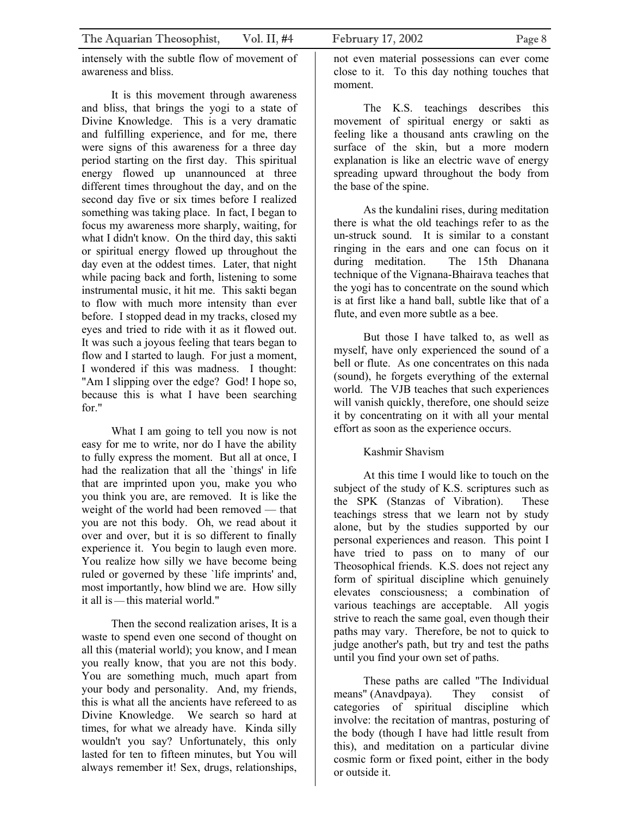intensely with the subtle flow of movement of awareness and bliss.

It is this movement through awareness and bliss, that brings the yogi to a state of Divine Knowledge. This is a very dramatic and fulfilling experience, and for me, there were signs of this awareness for a three day period starting on the first day. This spiritual energy flowed up unannounced at three different times throughout the day, and on the second day five or six times before I realized something was taking place. In fact, I began to focus my awareness more sharply, waiting, for what I didn't know. On the third day, this sakti or spiritual energy flowed up throughout the day even at the oddest times. Later, that night while pacing back and forth, listening to some instrumental music, it hit me. This sakti began to flow with much more intensity than ever before. I stopped dead in my tracks, closed my eyes and tried to ride with it as it flowed out. It was such a joyous feeling that tears began to flow and I started to laugh. For just a moment, I wondered if this was madness. I thought: "Am I slipping over the edge? God! I hope so, because this is what I have been searching for."

What I am going to tell you now is not easy for me to write, nor do I have the ability to fully express the moment. But all at once, I had the realization that all the `things' in life that are imprinted upon you, make you who you think you are, are removed. It is like the weight of the world had been removed — that you are not this body. Oh, we read about it over and over, but it is so different to finally experience it. You begin to laugh even more. You realize how silly we have become being ruled or governed by these `life imprints' and, most importantly, how blind we are. How silly it all is — this material world."

Then the second realization arises, It is a waste to spend even one second of thought on all this (material world); you know, and I mean you really know, that you are not this body. You are something much, much apart from your body and personality. And, my friends, this is what all the ancients have refereed to as Divine Knowledge. We search so hard at times, for what we already have. Kinda silly wouldn't you say? Unfortunately, this only lasted for ten to fifteen minutes, but You will always remember it! Sex, drugs, relationships,

not even material possessions can ever come close to it. To this day nothing touches that moment.

The K.S. teachings describes this movement of spiritual energy or sakti as feeling like a thousand ants crawling on the surface of the skin, but a more modern explanation is like an electric wave of energy spreading upward throughout the body from the base of the spine.

As the kundalini rises, during meditation there is what the old teachings refer to as the un-struck sound. It is similar to a constant ringing in the ears and one can focus on it during meditation. The 15th Dhanana technique of the Vignana-Bhairava teaches that the yogi has to concentrate on the sound which is at first like a hand ball, subtle like that of a flute, and even more subtle as a bee.

But those I have talked to, as well as myself, have only experienced the sound of a bell or flute. As one concentrates on this nada (sound), he forgets everything of the external world. The VJB teaches that such experiences will vanish quickly, therefore, one should seize it by concentrating on it with all your mental effort as soon as the experience occurs.

#### Kashmir Shavism

At this time I would like to touch on the subject of the study of K.S. scriptures such as the SPK (Stanzas of Vibration). These teachings stress that we learn not by study alone, but by the studies supported by our personal experiences and reason. This point I have tried to pass on to many of our Theosophical friends. K.S. does not reject any form of spiritual discipline which genuinely elevates consciousness; a combination of various teachings are acceptable. All yogis strive to reach the same goal, even though their paths may vary. Therefore, be not to quick to judge another's path, but try and test the paths until you find your own set of paths.

These paths are called "The Individual means" (Anavdpaya). They consist of categories of spiritual discipline which involve: the recitation of mantras, posturing of the body (though I have had little result from this), and meditation on a particular divine cosmic form or fixed point, either in the body or outside it.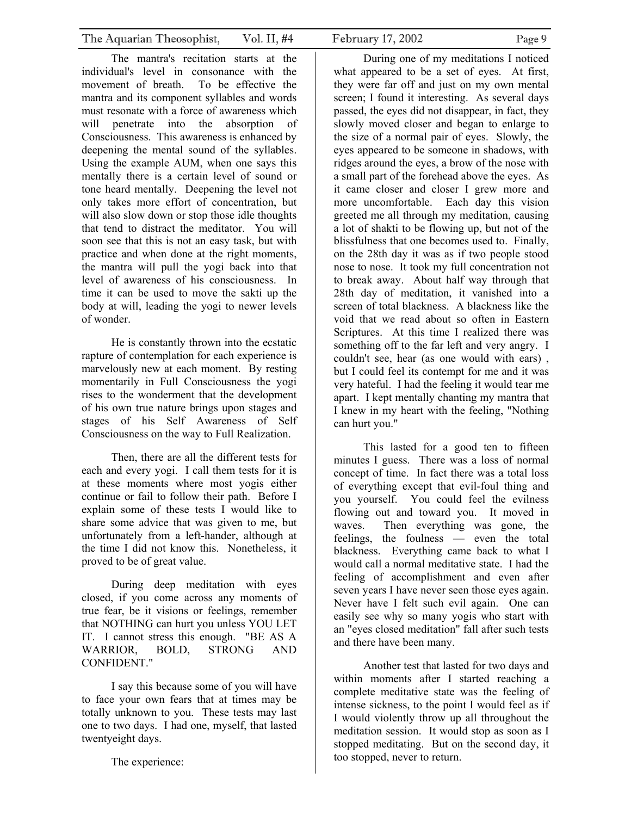The mantra's recitation starts at the individual's level in consonance with the movement of breath. To be effective the mantra and its component syllables and words must resonate with a force of awareness which will penetrate into the absorption of Consciousness. This awareness is enhanced by deepening the mental sound of the syllables. Using the example AUM, when one says this mentally there is a certain level of sound or tone heard mentally. Deepening the level not only takes more effort of concentration, but will also slow down or stop those idle thoughts that tend to distract the meditator. You will soon see that this is not an easy task, but with practice and when done at the right moments, the mantra will pull the yogi back into that level of awareness of his consciousness. In time it can be used to move the sakti up the body at will, leading the yogi to newer levels of wonder.

He is constantly thrown into the ecstatic rapture of contemplation for each experience is marvelously new at each moment. By resting momentarily in Full Consciousness the yogi rises to the wonderment that the development of his own true nature brings upon stages and stages of his Self Awareness of Self Consciousness on the way to Full Realization.

Then, there are all the different tests for each and every yogi. I call them tests for it is at these moments where most yogis either continue or fail to follow their path. Before I explain some of these tests I would like to share some advice that was given to me, but unfortunately from a left-hander, although at the time I did not know this. Nonetheless, it proved to be of great value.

During deep meditation with eyes closed, if you come across any moments of true fear, be it visions or feelings, remember that NOTHING can hurt you unless YOU LET IT. I cannot stress this enough. "BE AS A WARRIOR, BOLD, STRONG AND CONFIDENT."

I say this because some of you will have to face your own fears that at times may be totally unknown to you. These tests may last one to two days. I had one, myself, that lasted twentyeight days.

The experience:

During one of my meditations I noticed what appeared to be a set of eyes. At first, they were far off and just on my own mental screen; I found it interesting. As several days passed, the eyes did not disappear, in fact, they slowly moved closer and began to enlarge to the size of a normal pair of eyes. Slowly, the eyes appeared to be someone in shadows, with ridges around the eyes, a brow of the nose with a small part of the forehead above the eyes. As it came closer and closer I grew more and more uncomfortable. Each day this vision greeted me all through my meditation, causing a lot of shakti to be flowing up, but not of the blissfulness that one becomes used to. Finally, on the 28th day it was as if two people stood nose to nose. It took my full concentration not to break away. About half way through that 28th day of meditation, it vanished into a screen of total blackness. A blackness like the void that we read about so often in Eastern Scriptures. At this time I realized there was something off to the far left and very angry. I couldn't see, hear (as one would with ears) , but I could feel its contempt for me and it was very hateful. I had the feeling it would tear me apart. I kept mentally chanting my mantra that I knew in my heart with the feeling, "Nothing can hurt you."

This lasted for a good ten to fifteen minutes I guess. There was a loss of normal concept of time. In fact there was a total loss of everything except that evil-foul thing and you yourself. You could feel the evilness flowing out and toward you. It moved in waves. Then everything was gone, the feelings, the foulness — even the total blackness. Everything came back to what I would call a normal meditative state. I had the feeling of accomplishment and even after seven years I have never seen those eyes again. Never have I felt such evil again. One can easily see why so many yogis who start with an "eyes closed meditation" fall after such tests and there have been many.

Another test that lasted for two days and within moments after I started reaching a complete meditative state was the feeling of intense sickness, to the point I would feel as if I would violently throw up all throughout the meditation session. It would stop as soon as I stopped meditating. But on the second day, it too stopped, never to return.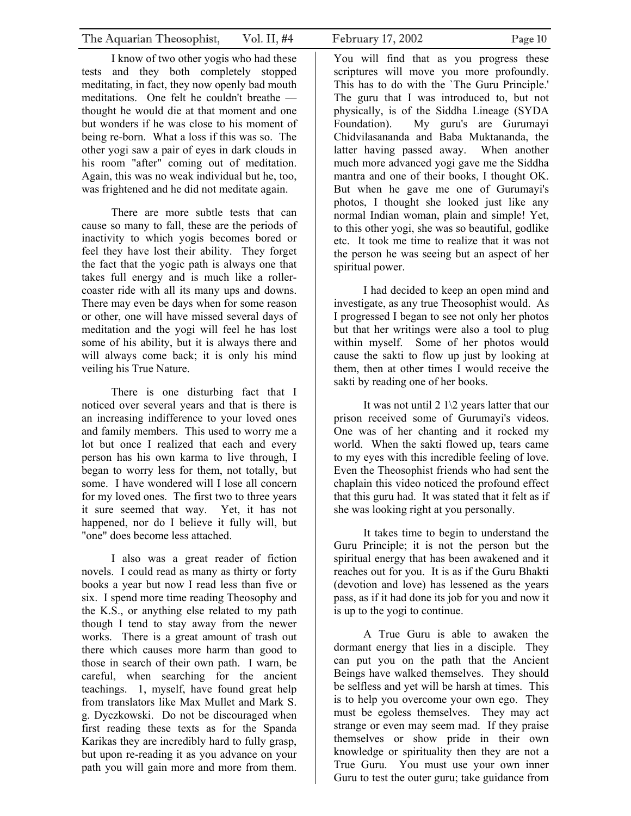I know of two other yogis who had these tests and they both completely stopped meditating, in fact, they now openly bad mouth meditations. One felt he couldn't breathe thought he would die at that moment and one but wonders if he was close to his moment of being re-born. What a loss if this was so. The other yogi saw a pair of eyes in dark clouds in his room "after" coming out of meditation. Again, this was no weak individual but he, too, was frightened and he did not meditate again.

There are more subtle tests that can cause so many to fall, these are the periods of inactivity to which yogis becomes bored or feel they have lost their ability. They forget the fact that the yogic path is always one that takes full energy and is much like a rollercoaster ride with all its many ups and downs. There may even be days when for some reason or other, one will have missed several days of meditation and the yogi will feel he has lost some of his ability, but it is always there and will always come back; it is only his mind veiling his True Nature.

There is one disturbing fact that I noticed over several years and that is there is an increasing indifference to your loved ones and family members. This used to worry me a lot but once I realized that each and every person has his own karma to live through, I began to worry less for them, not totally, but some. I have wondered will I lose all concern for my loved ones. The first two to three years it sure seemed that way. Yet, it has not happened, nor do I believe it fully will, but "one" does become less attached.

I also was a great reader of fiction novels. I could read as many as thirty or forty books a year but now I read less than five or six. I spend more time reading Theosophy and the K.S., or anything else related to my path though I tend to stay away from the newer works. There is a great amount of trash out there which causes more harm than good to those in search of their own path. I warn, be careful, when searching for the ancient teachings. 1, myself, have found great help from translators like Max Mullet and Mark S. g. Dyczkowski. Do not be discouraged when first reading these texts as for the Spanda Karikas they are incredibly hard to fully grasp, but upon re-reading it as you advance on your path you will gain more and more from them.

spiritual power.

You will find that as you progress these scriptures will move you more profoundly. This has to do with the `The Guru Principle.' The guru that I was introduced to, but not physically, is of the Siddha Lineage (SYDA Foundation). My guru's are Gurumayi Chidvilasananda and Baba Muktananda, the latter having passed away. When another much more advanced yogi gave me the Siddha mantra and one of their books, I thought OK. But when he gave me one of Gurumayi's photos, I thought she looked just like any normal Indian woman, plain and simple! Yet, to this other yogi, she was so beautiful, godlike etc. It took me time to realize that it was not the person he was seeing but an aspect of her

I had decided to keep an open mind and investigate, as any true Theosophist would. As I progressed I began to see not only her photos but that her writings were also a tool to plug within myself. Some of her photos would cause the sakti to flow up just by looking at them, then at other times I would receive the sakti by reading one of her books.

It was not until 2 1\2 years latter that our prison received some of Gurumayi's videos. One was of her chanting and it rocked my world. When the sakti flowed up, tears came to my eyes with this incredible feeling of love. Even the Theosophist friends who had sent the chaplain this video noticed the profound effect that this guru had. It was stated that it felt as if she was looking right at you personally.

It takes time to begin to understand the Guru Principle; it is not the person but the spiritual energy that has been awakened and it reaches out for you. It is as if the Guru Bhakti (devotion and love) has lessened as the years pass, as if it had done its job for you and now it is up to the yogi to continue.

A True Guru is able to awaken the dormant energy that lies in a disciple. They can put you on the path that the Ancient Beings have walked themselves. They should be selfless and yet will be harsh at times. This is to help you overcome your own ego. They must be egoless themselves. They may act strange or even may seem mad. If they praise themselves or show pride in their own knowledge or spirituality then they are not a True Guru. You must use your own inner Guru to test the outer guru; take guidance from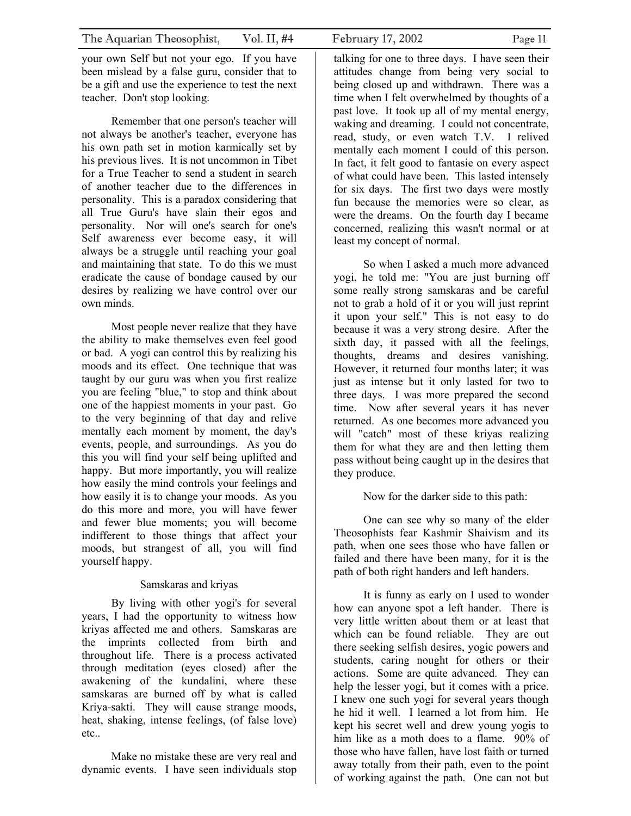your own Self but not your ego. If you have been mislead by a false guru, consider that to be a gift and use the experience to test the next teacher. Don't stop looking.

Remember that one person's teacher will not always be another's teacher, everyone has his own path set in motion karmically set by his previous lives. It is not uncommon in Tibet for a True Teacher to send a student in search of another teacher due to the differences in personality. This is a paradox considering that all True Guru's have slain their egos and personality. Nor will one's search for one's Self awareness ever become easy, it will always be a struggle until reaching your goal and maintaining that state. To do this we must eradicate the cause of bondage caused by our desires by realizing we have control over our own minds.

Most people never realize that they have the ability to make themselves even feel good or bad. A yogi can control this by realizing his moods and its effect. One technique that was taught by our guru was when you first realize you are feeling "blue," to stop and think about one of the happiest moments in your past. Go to the very beginning of that day and relive mentally each moment by moment, the day's events, people, and surroundings. As you do this you will find your self being uplifted and happy. But more importantly, you will realize how easily the mind controls your feelings and how easily it is to change your moods. As you do this more and more, you will have fewer and fewer blue moments; you will become indifferent to those things that affect your moods, but strangest of all, you will find yourself happy.

#### Samskaras and kriyas

By living with other yogi's for several years, I had the opportunity to witness how kriyas affected me and others. Samskaras are the imprints collected from birth and throughout life. There is a process activated through meditation (eyes closed) after the awakening of the kundalini, where these samskaras are burned off by what is called Kriya-sakti. They will cause strange moods, heat, shaking, intense feelings, (of false love) etc..

Make no mistake these are very real and dynamic events. I have seen individuals stop talking for one to three days. I have seen their attitudes change from being very social to being closed up and withdrawn. There was a time when I felt overwhelmed by thoughts of a past love. It took up all of my mental energy, waking and dreaming. I could not concentrate, read, study, or even watch T.V. I relived mentally each moment I could of this person. In fact, it felt good to fantasie on every aspect of what could have been. This lasted intensely for six days. The first two days were mostly fun because the memories were so clear, as were the dreams. On the fourth day I became concerned, realizing this wasn't normal or at least my concept of normal.

So when I asked a much more advanced yogi, he told me: "You are just burning off some really strong samskaras and be careful not to grab a hold of it or you will just reprint it upon your self." This is not easy to do because it was a very strong desire. After the sixth day, it passed with all the feelings, thoughts, dreams and desires vanishing. However, it returned four months later; it was just as intense but it only lasted for two to three days. I was more prepared the second time. Now after several years it has never returned. As one becomes more advanced you will "catch" most of these kriyas realizing them for what they are and then letting them pass without being caught up in the desires that they produce.

#### Now for the darker side to this path:

One can see why so many of the elder Theosophists fear Kashmir Shaivism and its path, when one sees those who have fallen or failed and there have been many, for it is the path of both right handers and left handers.

It is funny as early on I used to wonder how can anyone spot a left hander. There is very little written about them or at least that which can be found reliable. They are out there seeking selfish desires, yogic powers and students, caring nought for others or their actions. Some are quite advanced. They can help the lesser yogi, but it comes with a price. I knew one such yogi for several years though he hid it well. I learned a lot from him. He kept his secret well and drew young yogis to him like as a moth does to a flame. 90% of those who have fallen, have lost faith or turned away totally from their path, even to the point of working against the path. One can not but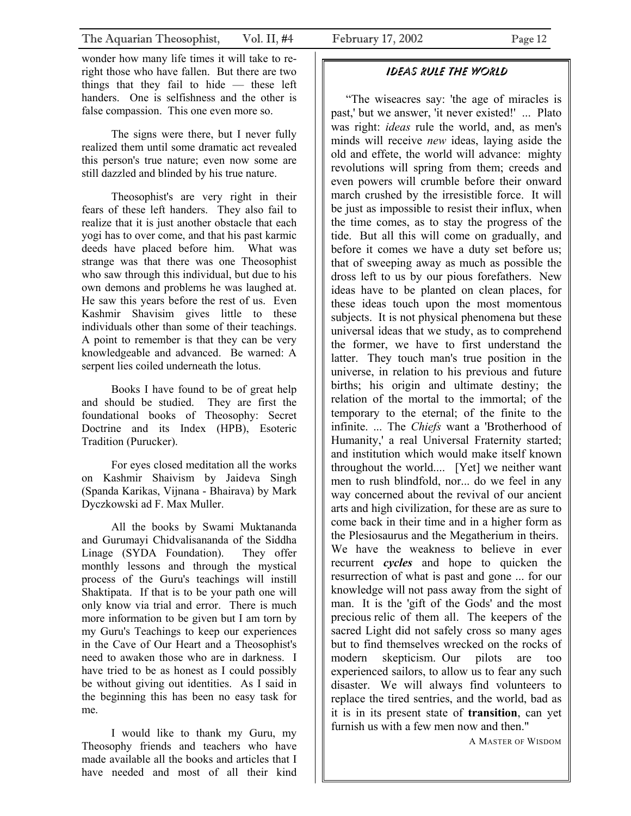wonder how many life times it will take to reright those who have fallen. But there are two things that they fail to hide — these left handers. One is selfishness and the other is false compassion. This one even more so.

The signs were there, but I never fully realized them until some dramatic act revealed this person's true nature; even now some are still dazzled and blinded by his true nature.

Theosophist's are very right in their fears of these left handers. They also fail to realize that it is just another obstacle that each yogi has to over come, and that his past karmic deeds have placed before him. What was strange was that there was one Theosophist who saw through this individual, but due to his own demons and problems he was laughed at. He saw this years before the rest of us. Even Kashmir Shavisim gives little to these individuals other than some of their teachings. A point to remember is that they can be very knowledgeable and advanced. Be warned: A serpent lies coiled underneath the lotus.

Books I have found to be of great help and should be studied. They are first the foundational books of Theosophy: Secret Doctrine and its Index (HPB), Esoteric Tradition (Purucker).

For eyes closed meditation all the works on Kashmir Shaivism by Jaideva Singh (Spanda Karikas, Vijnana - Bhairava) by Mark Dyczkowski ad F. Max Muller.

All the books by Swami Muktananda and Gurumayi Chidvalisananda of the Siddha Linage (SYDA Foundation). They offer monthly lessons and through the mystical process of the Guru's teachings will instill Shaktipata. If that is to be your path one will only know via trial and error. There is much more information to be given but I am torn by my Guru's Teachings to keep our experiences in the Cave of Our Heart and a Theosophist's need to awaken those who are in darkness. I have tried to be as honest as I could possibly be without giving out identities. As I said in the beginning this has been no easy task for me.

I would like to thank my Guru, my Theosophy friends and teachers who have made available all the books and articles that I have needed and most of all their kind

### Ideas Rule the World

 "The wiseacres say: 'the age of miracles is past,' but we answer, 'it never existed!' ... Plato was right: *ideas* rule the world, and, as men's minds will receive *new* ideas, laying aside the old and effete, the world will advance: mighty revolutions will spring from them; creeds and even powers will crumble before their onward march crushed by the irresistible force. It will be just as impossible to resist their influx, when the time comes, as to stay the progress of the tide. But all this will come on gradually, and before it comes we have a duty set before us; that of sweeping away as much as possible the dross left to us by our pious forefathers. New ideas have to be planted on clean places, for these ideas touch upon the most momentous subjects. It is not physical phenomena but these universal ideas that we study, as to comprehend the former, we have to first understand the latter. They touch man's true position in the universe, in relation to his previous and future births; his origin and ultimate destiny; the relation of the mortal to the immortal; of the temporary to the eternal; of the finite to the infinite. ... The *Chiefs* want a 'Brotherhood of Humanity,' a real Universal Fraternity started; and institution which would make itself known throughout the world.... [Yet] we neither want men to rush blindfold, nor... do we feel in any way concerned about the revival of our ancient arts and high civilization, for these are as sure to come back in their time and in a higher form as the Plesiosaurus and the Megatherium in theirs. We have the weakness to believe in ever recurrent *cycles* and hope to quicken the resurrection of what is past and gone ... for our knowledge will not pass away from the sight of man. It is the 'gift of the Gods' and the most precious relic of them all. The keepers of the sacred Light did not safely cross so many ages but to find themselves wrecked on the rocks of modern skepticism. Our pilots are too experienced sailors, to allow us to fear any such disaster. We will always find volunteers to replace the tired sentries, and the world, bad as it is in its present state of **transition**, can yet furnish us with a few men now and then."

A MASTER OF WISDOM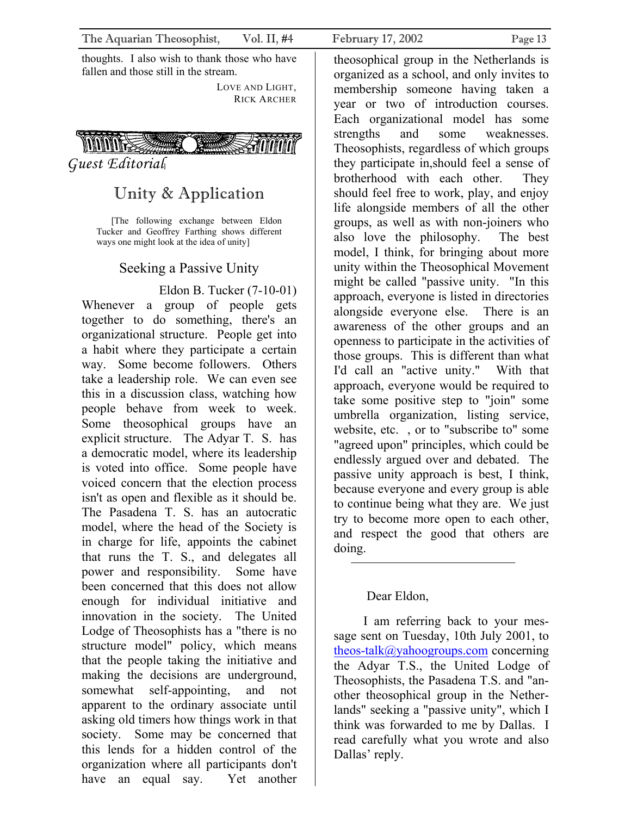thoughts. I also wish to thank those who have fallen and those still in the stream.

> LOVE AND LIGHT, RICK ARCHER

*Guest Editorial*]

# Unity & Application

[The following exchange between Eldon Tucker and Geoffrey Farthing shows different ways one might look at the idea of unity]

#### Seeking a Passive Unity

Eldon B. Tucker (7-10-01) Whenever a group of people gets together to do something, there's an organizational structure. People get into a habit where they participate a certain way. Some become followers. Others take a leadership role. We can even see this in a discussion class, watching how people behave from week to week. Some theosophical groups have an explicit structure. The Adyar T. S. has a democratic model, where its leadership is voted into office. Some people have voiced concern that the election process isn't as open and flexible as it should be. The Pasadena T. S. has an autocratic model, where the head of the Society is in charge for life, appoints the cabinet that runs the T. S., and delegates all power and responsibility. Some have been concerned that this does not allow enough for individual initiative and innovation in the society. The United Lodge of Theosophists has a "there is no structure model" policy, which means that the people taking the initiative and making the decisions are underground, somewhat self-appointing, and not apparent to the ordinary associate until asking old timers how things work in that society. Some may be concerned that this lends for a hidden control of the organization where all participants don't have an equal say. Yet another

theosophical group in the Netherlands is organized as a school, and only invites to membership someone having taken a year or two of introduction courses. Each organizational model has some strengths and some weaknesses. Theosophists, regardless of which groups they participate in,should feel a sense of brotherhood with each other. They should feel free to work, play, and enjoy life alongside members of all the other groups, as well as with non-joiners who also love the philosophy. The best model, I think, for bringing about more unity within the Theosophical Movement might be called "passive unity. "In this approach, everyone is listed in directories alongside everyone else. There is an awareness of the other groups and an openness to participate in the activities of those groups. This is different than what I'd call an "active unity." With that approach, everyone would be required to take some positive step to "join" some umbrella organization, listing service, website, etc. , or to "subscribe to" some "agreed upon" principles, which could be endlessly argued over and debated. The passive unity approach is best, I think, because everyone and every group is able to continue being what they are. We just try to become more open to each other, and respect the good that others are doing.

#### Dear Eldon,

I am referring back to your message sent on Tuesday, 10th July 2001, to theos-talk@yahoogroups.com concerning the Adyar T.S., the United Lodge of Theosophists, the Pasadena T.S. and "another theosophical group in the Netherlands" seeking a "passive unity", which I think was forwarded to me by Dallas. I read carefully what you wrote and also Dallas' reply.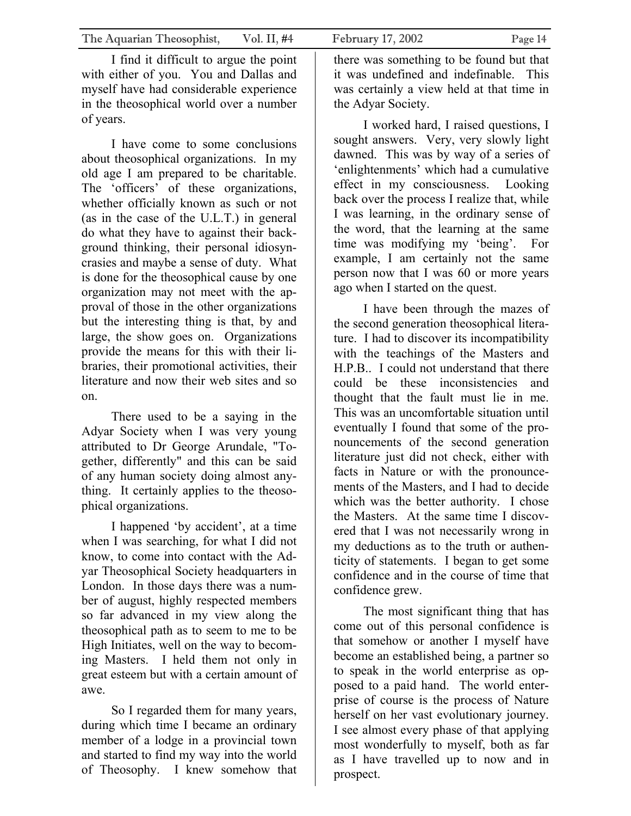I find it difficult to argue the point with either of you. You and Dallas and myself have had considerable experience in the theosophical world over a number of years.

I have come to some conclusions about theosophical organizations. In my old age I am prepared to be charitable. The 'officers' of these organizations, whether officially known as such or not (as in the case of the U.L.T.) in general do what they have to against their background thinking, their personal idiosyncrasies and maybe a sense of duty. What is done for the theosophical cause by one organization may not meet with the approval of those in the other organizations but the interesting thing is that, by and large, the show goes on. Organizations provide the means for this with their libraries, their promotional activities, their literature and now their web sites and so on.

There used to be a saying in the Adyar Society when I was very young attributed to Dr George Arundale, "Together, differently" and this can be said of any human society doing almost anything. It certainly applies to the theosophical organizations.

I happened 'by accident', at a time when I was searching, for what I did not know, to come into contact with the Adyar Theosophical Society headquarters in London. In those days there was a number of august, highly respected members so far advanced in my view along the theosophical path as to seem to me to be High Initiates, well on the way to becoming Masters. I held them not only in great esteem but with a certain amount of awe.

So I regarded them for many years, during which time I became an ordinary member of a lodge in a provincial town and started to find my way into the world of Theosophy. I knew somehow that

there was something to be found but that it was undefined and indefinable. This was certainly a view held at that time in the Adyar Society.

I worked hard, I raised questions, I sought answers. Very, very slowly light dawned. This was by way of a series of 'enlightenments' which had a cumulative effect in my consciousness. Looking back over the process I realize that, while I was learning, in the ordinary sense of the word, that the learning at the same time was modifying my 'being'. For example, I am certainly not the same person now that I was 60 or more years ago when I started on the quest.

I have been through the mazes of the second generation theosophical literature. I had to discover its incompatibility with the teachings of the Masters and H.P.B.. I could not understand that there could be these inconsistencies and thought that the fault must lie in me. This was an uncomfortable situation until eventually I found that some of the pronouncements of the second generation literature just did not check, either with facts in Nature or with the pronouncements of the Masters, and I had to decide which was the better authority. I chose the Masters. At the same time I discovered that I was not necessarily wrong in my deductions as to the truth or authenticity of statements. I began to get some confidence and in the course of time that confidence grew.

The most significant thing that has come out of this personal confidence is that somehow or another I myself have become an established being, a partner so to speak in the world enterprise as opposed to a paid hand. The world enterprise of course is the process of Nature herself on her vast evolutionary journey. I see almost every phase of that applying most wonderfully to myself, both as far as I have travelled up to now and in prospect.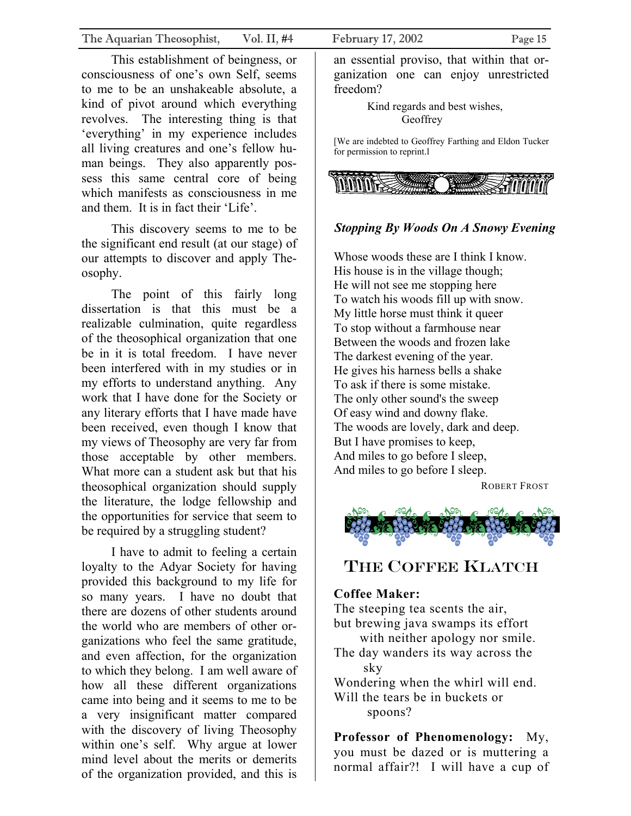This establishment of beingness, or consciousness of one's own Self, seems to me to be an unshakeable absolute, a kind of pivot around which everything revolves. The interesting thing is that 'everything' in my experience includes all living creatures and one's fellow human beings. They also apparently possess this same central core of being which manifests as consciousness in me and them. It is in fact their 'Life'.

This discovery seems to me to be the significant end result (at our stage) of our attempts to discover and apply Theosophy.

The point of this fairly long dissertation is that this must be a realizable culmination, quite regardless of the theosophical organization that one be in it is total freedom. I have never been interfered with in my studies or in my efforts to understand anything. Any work that I have done for the Society or any literary efforts that I have made have been received, even though I know that my views of Theosophy are very far from those acceptable by other members. What more can a student ask but that his theosophical organization should supply the literature, the lodge fellowship and the opportunities for service that seem to be required by a struggling student?

I have to admit to feeling a certain loyalty to the Adyar Society for having provided this background to my life for so many years. I have no doubt that there are dozens of other students around the world who are members of other organizations who feel the same gratitude, and even affection, for the organization to which they belong. I am well aware of how all these different organizations came into being and it seems to me to be a very insignificant matter compared with the discovery of living Theosophy within one's self. Why argue at lower mind level about the merits or demerits of the organization provided, and this is

an essential proviso, that within that organization one can enjoy unrestricted freedom?

> Kind regards and best wishes, **Geoffrey**

[We are indebted to Geoffrey Farthing and Eldon Tucker for permission to reprint.l



#### *Stopping By Woods On A Snowy Evening*

Whose woods these are I think I know. His house is in the village though; He will not see me stopping here To watch his woods fill up with snow. My little horse must think it queer To stop without a farmhouse near Between the woods and frozen lake The darkest evening of the year. He gives his harness bells a shake To ask if there is some mistake. The only other sound's the sweep Of easy wind and downy flake. The woods are lovely, dark and deep. But I have promises to keep, And miles to go before I sleep, And miles to go before I sleep.

ROBERT FROST



## THE COFFEE KLATCH

#### **Coffee Maker:**

The steeping tea scents the air, but brewing java swamps its effort with neither apology nor smile.

The day wanders its way across the sky

Wondering when the whirl will end. Will the tears be in buckets or spoons?

**Professor of Phenomenology:** My, you must be dazed or is muttering a normal affair?! I will have a cup of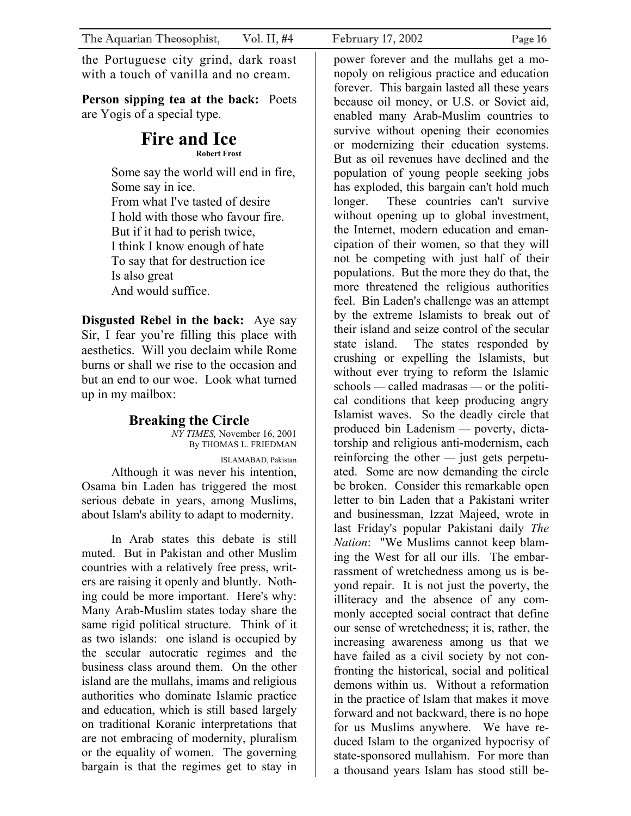the Portuguese city grind, dark roast with a touch of vanilla and no cream.

**Person sipping tea at the back:** Poets are Yogis of a special type.

# **Fire and Ice**

 **Robert Frost** 

Some say the world will end in fire, Some say in ice. From what I've tasted of desire I hold with those who favour fire. But if it had to perish twice, I think I know enough of hate To say that for destruction ice Is also great And would suffice.

**Disgusted Rebel in the back:** Aye say Sir, I fear you're filling this place with aesthetics. Will you declaim while Rome burns or shall we rise to the occasion and but an end to our woe. Look what turned up in my mailbox:

#### **Breaking the Circle**

*NY TIMES,* November 16, 2001 By THOMAS L. FRIEDMAN

ISLAMABAD, Pakistan

Although it was never his intention, Osama bin Laden has triggered the most serious debate in years, among Muslims, about Islam's ability to adapt to modernity.

In Arab states this debate is still muted. But in Pakistan and other Muslim countries with a relatively free press, writers are raising it openly and bluntly. Nothing could be more important. Here's why: Many Arab-Muslim states today share the same rigid political structure. Think of it as two islands: one island is occupied by the secular autocratic regimes and the business class around them. On the other island are the mullahs, imams and religious authorities who dominate Islamic practice and education, which is still based largely on traditional Koranic interpretations that are not embracing of modernity, pluralism or the equality of women. The governing bargain is that the regimes get to stay in

power forever and the mullahs get a monopoly on religious practice and education forever. This bargain lasted all these years because oil money, or U.S. or Soviet aid, enabled many Arab-Muslim countries to survive without opening their economies or modernizing their education systems. But as oil revenues have declined and the population of young people seeking jobs has exploded, this bargain can't hold much longer. These countries can't survive without opening up to global investment, the Internet, modern education and emancipation of their women, so that they will not be competing with just half of their populations. But the more they do that, the more threatened the religious authorities feel. Bin Laden's challenge was an attempt by the extreme Islamists to break out of their island and seize control of the secular state island. The states responded by crushing or expelling the Islamists, but without ever trying to reform the Islamic schools — called madrasas — or the political conditions that keep producing angry Islamist waves. So the deadly circle that produced bin Ladenism — poverty, dictatorship and religious anti-modernism, each reinforcing the other — just gets perpetuated. Some are now demanding the circle be broken. Consider this remarkable open letter to bin Laden that a Pakistani writer and businessman, Izzat Majeed, wrote in last Friday's popular Pakistani daily *The Nation*: "We Muslims cannot keep blaming the West for all our ills. The embarrassment of wretchedness among us is beyond repair. It is not just the poverty, the illiteracy and the absence of any commonly accepted social contract that define our sense of wretchedness; it is, rather, the increasing awareness among us that we have failed as a civil society by not confronting the historical, social and political demons within us. Without a reformation in the practice of Islam that makes it move forward and not backward, there is no hope for us Muslims anywhere. We have reduced Islam to the organized hypocrisy of state-sponsored mullahism. For more than a thousand years Islam has stood still be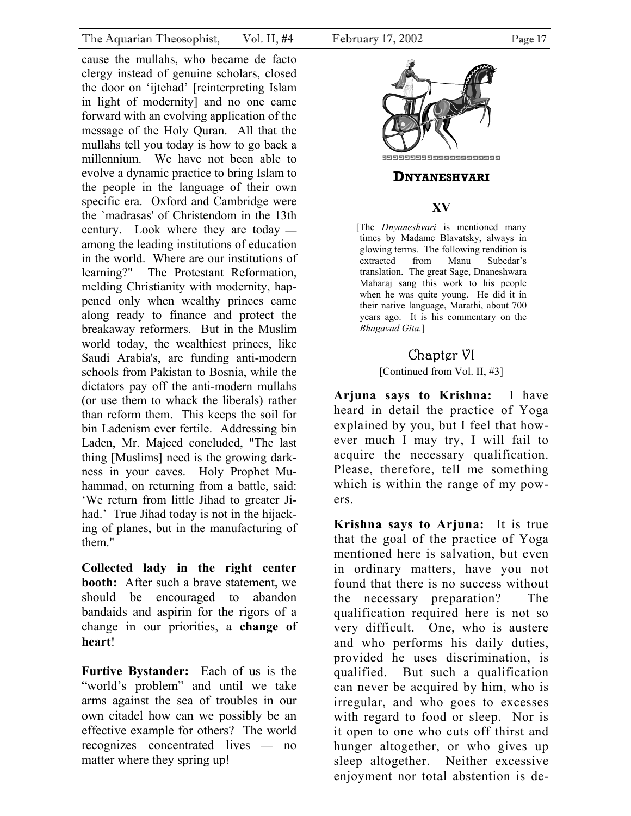cause the mullahs, who became de facto clergy instead of genuine scholars, closed the door on 'ijtehad' [reinterpreting Islam in light of modernity] and no one came forward with an evolving application of the message of the Holy Quran. All that the mullahs tell you today is how to go back a millennium. We have not been able to evolve a dynamic practice to bring Islam to the people in the language of their own specific era. Oxford and Cambridge were the `madrasas' of Christendom in the 13th century. Look where they are today among the leading institutions of education in the world. Where are our institutions of learning?" The Protestant Reformation, melding Christianity with modernity, happened only when wealthy princes came along ready to finance and protect the breakaway reformers. But in the Muslim world today, the wealthiest princes, like Saudi Arabia's, are funding anti-modern schools from Pakistan to Bosnia, while the dictators pay off the anti-modern mullahs (or use them to whack the liberals) rather than reform them. This keeps the soil for bin Ladenism ever fertile. Addressing bin Laden, Mr. Majeed concluded, "The last thing [Muslims] need is the growing darkness in your caves. Holy Prophet Muhammad, on returning from a battle, said: 'We return from little Jihad to greater Jihad.' True Jihad today is not in the hijacking of planes, but in the manufacturing of them"

**Collected lady in the right center booth:** After such a brave statement, we should be encouraged to abandon bandaids and aspirin for the rigors of a change in our priorities, a **change of heart**!

**Furtive Bystander:** Each of us is the "world's problem" and until we take arms against the sea of troubles in our own citadel how can we possibly be an effective example for others? The world recognizes concentrated lives — no matter where they spring up!



#### **DNYANESHVARI**

#### **XV**

[The *Dnyaneshvari* is mentioned many times by Madame Blavatsky, always in glowing terms. The following rendition is extracted from Manu Subedar's translation. The great Sage, Dnaneshwara Maharaj sang this work to his people when he was quite young. He did it in their native language, Marathi, about 700 years ago. It is his commentary on the *Bhagavad Gita.*]

### Chapter VI

[Continued from Vol. II, #3]

**Arjuna says to Krishna:** I have heard in detail the practice of Yoga explained by you, but I feel that however much I may try, I will fail to acquire the necessary qualification. Please, therefore, tell me something which is within the range of my powers.

**Krishna says to Arjuna:** It is true that the goal of the practice of Yoga mentioned here is salvation, but even in ordinary matters, have you not found that there is no success without the necessary preparation? The qualification required here is not so very difficult. One, who is austere and who performs his daily duties, provided he uses discrimination, is qualified. But such a qualification can never be acquired by him, who is irregular, and who goes to excesses with regard to food or sleep. Nor is it open to one who cuts off thirst and hunger altogether, or who gives up sleep altogether. Neither excessive enjoyment nor total abstention is de-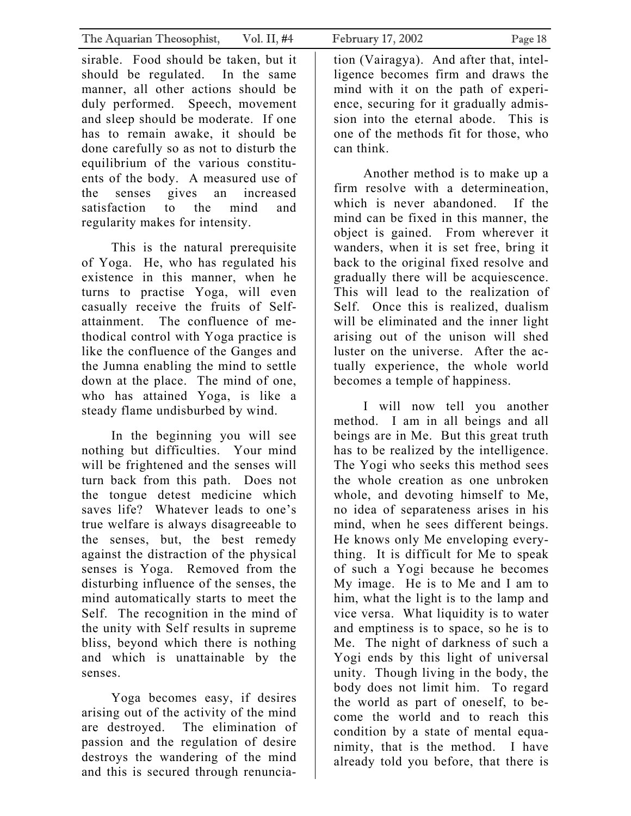sirable. Food should be taken, but it should be regulated. In the same manner, all other actions should be duly performed. Speech, movement and sleep should be moderate. If one has to remain awake, it should be done carefully so as not to disturb the equilibrium of the various constituents of the body. A measured use of the senses gives an increased satisfaction to the mind and regularity makes for intensity.

 This is the natural prerequisite of Yoga. He, who has regulated his existence in this manner, when he turns to practise Yoga, will even casually receive the fruits of Selfattainment. The confluence of methodical control with Yoga practice is like the confluence of the Ganges and the Jumna enabling the mind to settle down at the place. The mind of one, who has attained Yoga, is like a steady flame undisburbed by wind.

 In the beginning you will see nothing but difficulties. Your mind will be frightened and the senses will turn back from this path. Does not the tongue detest medicine which saves life? Whatever leads to one's true welfare is always disagreeable to the senses, but, the best remedy against the distraction of the physical senses is Yoga. Removed from the disturbing influence of the senses, the mind automatically starts to meet the Self. The recognition in the mind of the unity with Self results in supreme bliss, beyond which there is nothing and which is unattainable by the senses.

 Yoga becomes easy, if desires arising out of the activity of the mind are destroyed. The elimination of passion and the regulation of desire destroys the wandering of the mind and this is secured through renunciation (Vairagya). And after that, intelligence becomes firm and draws the mind with it on the path of experience, securing for it gradually admission into the eternal abode. This is one of the methods fit for those, who can think.

 Another method is to make up a firm resolve with a determineation, which is never abandoned. If the mind can be fixed in this manner, the object is gained. From wherever it wanders, when it is set free, bring it back to the original fixed resolve and gradually there will be acquiescence. This will lead to the realization of Self. Once this is realized, dualism will be eliminated and the inner light arising out of the unison will shed luster on the universe. After the actually experience, the whole world becomes a temple of happiness.

 I will now tell you another method. I am in all beings and all beings are in Me. But this great truth has to be realized by the intelligence. The Yogi who seeks this method sees the whole creation as one unbroken whole, and devoting himself to Me, no idea of separateness arises in his mind, when he sees different beings. He knows only Me enveloping everything. It is difficult for Me to speak of such a Yogi because he becomes My image. He is to Me and I am to him, what the light is to the lamp and vice versa. What liquidity is to water and emptiness is to space, so he is to Me. The night of darkness of such a Yogi ends by this light of universal unity. Though living in the body, the body does not limit him. To regard the world as part of oneself, to become the world and to reach this condition by a state of mental equanimity, that is the method. I have already told you before, that there is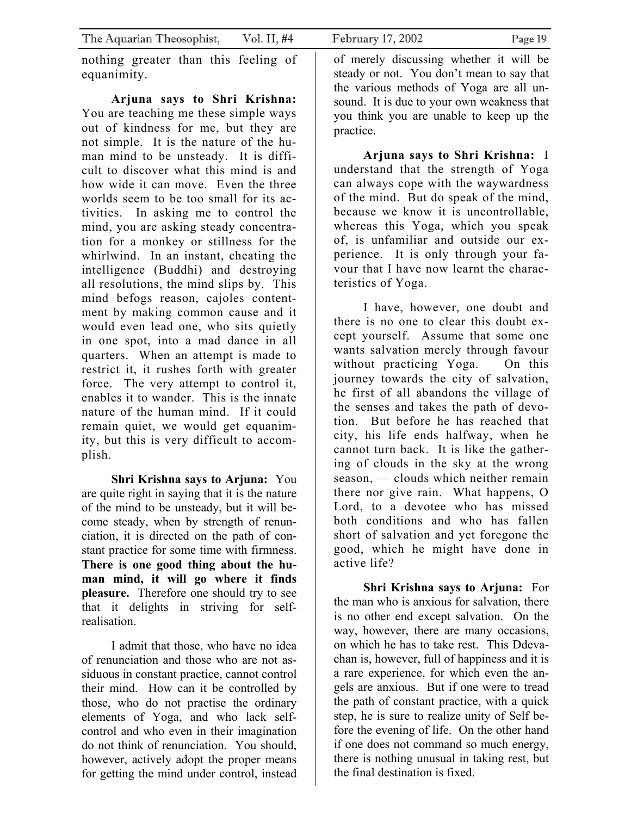nothing greater than this feeling of equanimity.

 **Arjuna says to Shri Krishna:**  You are teaching me these simple ways out of kindness for me, but they are not simple. It is the nature of the human mind to be unsteady. It is difficult to discover what this mind is and how wide it can move. Even the three worlds seem to be too small for its activities. In asking me to control the mind, you are asking steady concentration for a monkey or stillness for the whirlwind. In an instant, cheating the intelligence (Buddhi) and destroying all resolutions, the mind slips by. This mind befogs reason, cajoles contentment by making common cause and it would even lead one, who sits quietly in one spot, into a mad dance in all quarters. When an attempt is made to restrict it, it rushes forth with greater force. The very attempt to control it, enables it to wander. This is the innate nature of the human mind. If it could remain quiet, we would get equanimity, but this is very difficult to accomplish.

**Shri Krishna says to Arjuna:** You are quite right in saying that it is the nature of the mind to be unsteady, but it will become steady, when by strength of renunciation, it is directed on the path of constant practice for some time with firmness. **There is one good thing about the human mind, it will go where it finds pleasure.** Therefore one should try to see that it delights in striving for selfrealisation.

I admit that those, who have no idea of renunciation and those who are not assiduous in constant practice, cannot control their mind. How can it be controlled by those, who do not practise the ordinary elements of Yoga, and who lack selfcontrol and who even in their imagination do not think of renunciation. You should, however, actively adopt the proper means for getting the mind under control, instead

of merely discussing whether it will be steady or not. You don't mean to say that the various methods of Yoga are all unsound. It is due to your own weakness that you think you are unable to keep up the practice.

 **Arjuna says to Shri Krishna:** I understand that the strength of Yoga can always cope with the waywardness of the mind. But do speak of the mind, because we know it is uncontrollable, whereas this Yoga, which you speak of, is unfamiliar and outside our experience. It is only through your favour that I have now learnt the characteristics of Yoga.

 I have, however, one doubt and there is no one to clear this doubt except yourself. Assume that some one wants salvation merely through favour without practicing Yoga. On this journey towards the city of salvation, he first of all abandons the village of the senses and takes the path of devotion. But before he has reached that city, his life ends halfway, when he cannot turn back. It is like the gathering of clouds in the sky at the wrong season, — clouds which neither remain there nor give rain. What happens, O Lord, to a devotee who has missed both conditions and who has fallen short of salvation and yet foregone the good, which he might have done in active life?

**Shri Krishna says to Arjuna:** For the man who is anxious for salvation, there is no other end except salvation. On the way, however, there are many occasions, on which he has to take rest. This Ddevachan is, however, full of happiness and it is a rare experience, for which even the angels are anxious. But if one were to tread the path of constant practice, with a quick step, he is sure to realize unity of Self before the evening of life. On the other hand if one does not command so much energy, there is nothing unusual in taking rest, but the final destination is fixed.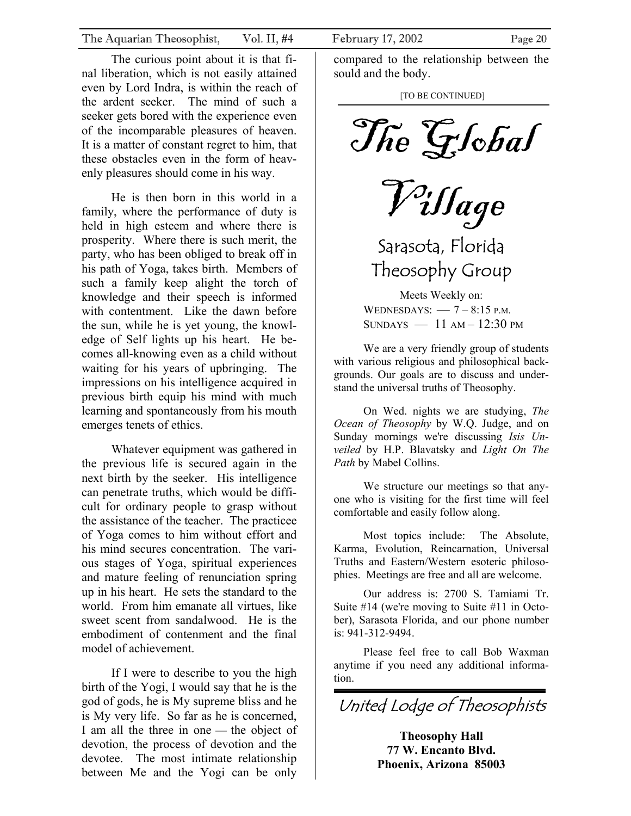The curious point about it is that final liberation, which is not easily attained even by Lord Indra, is within the reach of the ardent seeker. The mind of such a seeker gets bored with the experience even of the incomparable pleasures of heaven. It is a matter of constant regret to him, that these obstacles even in the form of heavenly pleasures should come in his way.

He is then born in this world in a family, where the performance of duty is held in high esteem and where there is prosperity. Where there is such merit, the party, who has been obliged to break off in his path of Yoga, takes birth. Members of such a family keep alight the torch of knowledge and their speech is informed with contentment. Like the dawn before the sun, while he is yet young, the knowledge of Self lights up his heart. He becomes all-knowing even as a child without waiting for his years of upbringing. The impressions on his intelligence acquired in previous birth equip his mind with much learning and spontaneously from his mouth emerges tenets of ethics.

Whatever equipment was gathered in the previous life is secured again in the next birth by the seeker. His intelligence can penetrate truths, which would be difficult for ordinary people to grasp without the assistance of the teacher. The practicee of Yoga comes to him without effort and his mind secures concentration. The various stages of Yoga, spiritual experiences and mature feeling of renunciation spring up in his heart. He sets the standard to the world. From him emanate all virtues, like sweet scent from sandalwood. He is the embodiment of contenment and the final model of achievement.

If I were to describe to you the high birth of the Yogi, I would say that he is the god of gods, he is My supreme bliss and he is My very life. So far as he is concerned, I am all the three in one — the object of devotion, the process of devotion and the devotee. The most intimate relationship between Me and the Yogi can be only

compared to the relationship between the sould and the body.

[TO BE CONTINUED]

The Global

Village

# Sarasota, Florida Theosophy Group

Meets Weekly on: WEDNESDAYS:  $-7-8:15$  P.M. SUNDAYS  $-11$  AM  $-12:30$  PM

We are a very friendly group of students with various religious and philosophical backgrounds. Our goals are to discuss and understand the universal truths of Theosophy.

On Wed. nights we are studying, *The Ocean of Theosophy* by W.Q. Judge, and on Sunday mornings we're discussing *Isis Unveiled* by H.P. Blavatsky and *Light On The Path* by Mabel Collins.

We structure our meetings so that anyone who is visiting for the first time will feel comfortable and easily follow along.

Most topics include: The Absolute, Karma, Evolution, Reincarnation, Universal Truths and Eastern/Western esoteric philosophies. Meetings are free and all are welcome.

Our address is: 2700 S. Tamiami Tr. Suite #14 (we're moving to Suite #11 in October), Sarasota Florida, and our phone number is: 941-312-9494.

Please feel free to call Bob Waxman anytime if you need any additional information.

United Lodge of Theosophists

**Theosophy Hall 77 W. Encanto Blvd. Phoenix, Arizona 85003**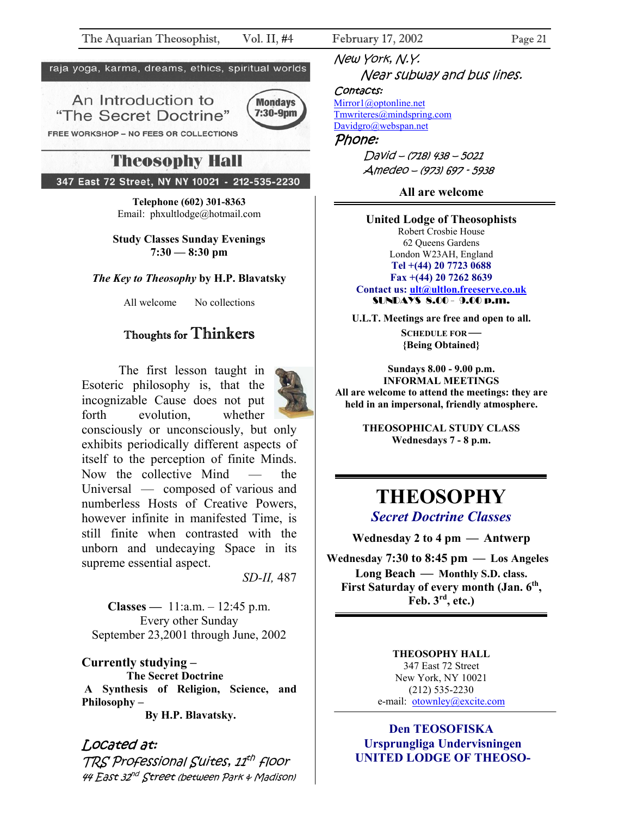The Aquarian Theosophist, Vol. II, #4 February 17, 2002 Page 21



# **Theosophy Hall**

347 East 72 Street, NY NY 10021 - 212-535-2230

**Telephone (602) 301-8363**  Email: phxultlodge@hotmail.com

**Study Classes Sunday Evenings 7:30 — 8:30 pm** 

*The Key to Theosophy* **by H.P. Blavatsky** 

All welcome No collections

### Thoughts for Thinkers

The first lesson taught in Esoteric philosophy is, that the incognizable Cause does not put forth evolution, whether



consciously or unconsciously, but only exhibits periodically different aspects of itself to the perception of finite Minds. Now the collective Mind — the Universal — composed of various and numberless Hosts of Creative Powers, however infinite in manifested Time, is still finite when contrasted with the unborn and undecaying Space in its supreme essential aspect.

*SD-II,* 487

**Classes —** 11:a.m. – 12:45 p.m. Every other Sunday September 23,2001 through June, 2002

**Currently studying – The Secret Doctrine A Synthesis of Religion, Science, and Philosophy – By H.P. Blavatsky.** 

Located at:

TRS Professional Suites, 11th floor 44 East 32<sup>nd</sup> Street (between Park & Madison)

New York, N.Y. Near subway and bus lines.

#### Contacts:

Mirror1@optonline.net Tmwriteres@mindspring.com Davidgro@webspan.net

#### Phone:

 David – (718) 438 – 5021 Amedeo – (973) 697 - 5938

**All are welcome** 

**United Lodge of Theosophists**  Robert Crosbie House 62 Queens Gardens London W23AH, England **Tel +(44) 20 7723 0688 Fax +(44) 20 7262 8639 Contact us: ult@ultlon.freeserve.co.uk** SUNDAYS 8.00 - 9.00 p.m.

**U.L.T. Meetings are free and open to all. SCHEDULE FOR— {Being Obtained}** 

**Sundays 8.00 - 9.00 p.m. INFORMAL MEETINGS All are welcome to attend the meetings: they are held in an impersonal, friendly atmosphere.** 

> **THEOSOPHICAL STUDY CLASS Wednesdays 7 - 8 p.m.**

# **THEOSOPHY**

*Secret Doctrine Classes*

**Wednesday 2 to 4 pm — Antwerp** 

**Wednesday 7:30 to 8:45 pm — Los Angeles Long Beach — Monthly S.D. class.**  First Saturday of every month (Jan. 6<sup>th</sup>, **Feb. 3rd, etc.)**

> **THEOSOPHY HALL**  347 East 72 Street New York, NY 10021 (212) 535-2230 e-mail: otownley@excite.com

**Den TEOSOFISKA Ursprungliga Undervisningen UNITED LODGE OF THEOSO-**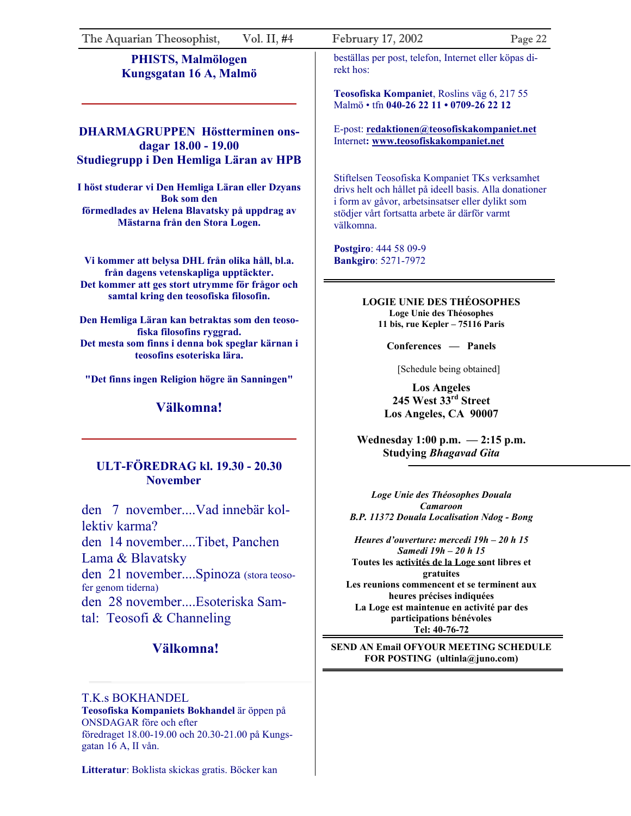#### **PHISTS, Malmölogen Kungsgatan 16 A, Malmö**

#### **DHARMAGRUPPEN Höstterminen onsdagar 18.00 - 19.00 Studiegrupp i Den Hemliga Läran av HPB**

**I höst studerar vi Den Hemliga Läran eller Dzyans Bok som den förmedlades av Helena Blavatsky på uppdrag av Mästarna från den Stora Logen.** 

**Vi kommer att belysa DHL från olika håll, bl.a. från dagens vetenskapliga upptäckter. Det kommer att ges stort utrymme för frågor och samtal kring den teosofiska filosofin.** 

**Den Hemliga Läran kan betraktas som den teosofiska filosofins ryggrad. Det mesta som finns i denna bok speglar kärnan i teosofins esoteriska lära.** 

**"Det finns ingen Religion högre än Sanningen"** 

#### **Välkomna!**

#### **ULT-FÖREDRAG kl. 19.30 - 20.30 November**

den 7 november....Vad innebär kollektiv karma? den 14 november....Tibet, Panchen Lama & Blavatsky den 21 november....Spinoza (stora teosofer genom tiderna) den 28 november....Esoteriska Samtal: Teosofi & Channeling

#### **Välkomna!**

#### T.K.s BOKHANDEL

**Teosofiska Kompaniets Bokhandel** är öppen på ONSDAGAR före och efter föredraget 18.00-19.00 och 20.30-21.00 på Kungsgatan 16 A, II vån.

**Litteratur**: Boklista skickas gratis. Böcker kan

beställas per post, telefon, Internet eller köpas direkt hos:

**Teosofiska Kompaniet**, Roslins väg 6, 217 55 Malmö • tfn **040-26 22 11 • 0709-26 22 12**

E-post: **redaktionen@teosofiskakompaniet.net** Internet**: www.teosofiskakompaniet.net**

Stiftelsen Teosofiska Kompaniet TKs verksamhet drivs helt och hållet på ideell basis. Alla donationer i form av gåvor, arbetsinsatser eller dylikt som stödjer vårt fortsatta arbete är därför varmt välkomna.

**Postgiro**: 444 58 09-9 **Bankgiro**: 5271-7972

> **LOGIE UNIE DES THÉOSOPHES Loge Unie des Théosophes 11 bis, rue Kepler – 75116 Paris**

> > **Conferences — Panels**

[Schedule being obtained]

**Los Angeles 245 West 33rd Street Los Angeles, CA 90007** 

**Wednesday 1:00 p.m. — 2:15 p.m. Studying** *Bhagavad Gita* 

*Loge Unie des Théosophes Douala Camaroon B.P. 11372 Douala Localisation Ndog - Bong* 

*Heures d'ouverture: mercedi 19h – 20 h 15 Samedi 19h – 20 h 15* 

**Toutes les activités de la Loge sont libres et gratuites** 

**Les reunions commencent et se terminent aux heures précises indiquées La Loge est maintenue en activité par des participations bénévoles Tel: 40-76-72** 

**SEND AN Email OFYOUR MEETING SCHEDULE FOR POSTING (ultinla@juno.com)**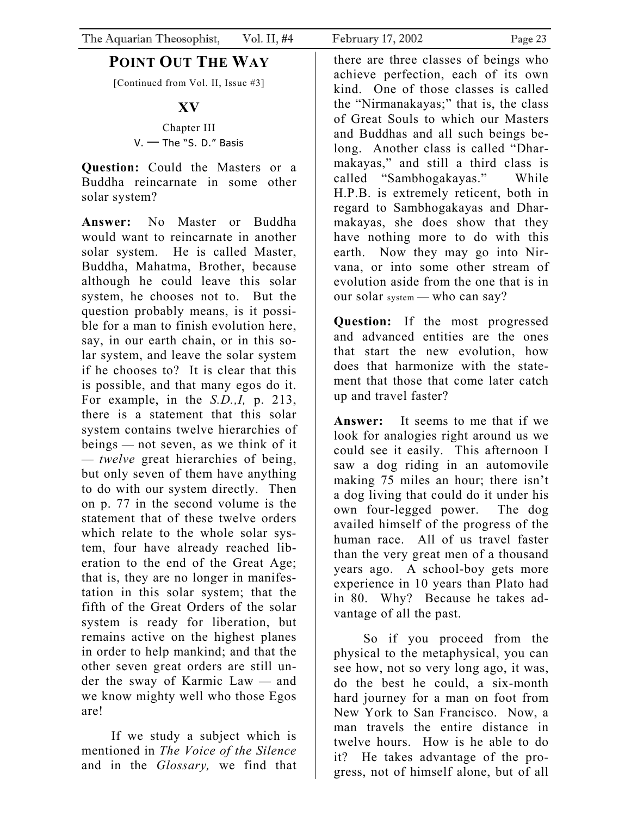[Continued from Vol. II, Issue #3]

## **XV**

#### Chapter III V. — The "S. D." Basis

**Question:** Could the Masters or a Buddha reincarnate in some other solar system?

**Answer:** No Master or Buddha would want to reincarnate in another solar system. He is called Master, Buddha, Mahatma, Brother, because although he could leave this solar system, he chooses not to. But the question probably means, is it possible for a man to finish evolution here, say, in our earth chain, or in this solar system, and leave the solar system if he chooses to? It is clear that this is possible, and that many egos do it. For example, in the *S.D.,I,* p. 213, there is a statement that this solar system contains twelve hierarchies of beings — not seven, as we think of it — *twelve* great hierarchies of being, but only seven of them have anything to do with our system directly. Then on p. 77 in the second volume is the statement that of these twelve orders which relate to the whole solar system, four have already reached liberation to the end of the Great Age; that is, they are no longer in manifestation in this solar system; that the fifth of the Great Orders of the solar system is ready for liberation, but remains active on the highest planes in order to help mankind; and that the other seven great orders are still under the sway of Karmic Law — and we know mighty well who those Egos are!

 If we study a subject which is mentioned in *The Voice of the Silence*  and in the *Glossary,* we find that there are three classes of beings who achieve perfection, each of its own kind. One of those classes is called the "Nirmanakayas;" that is, the class of Great Souls to which our Masters and Buddhas and all such beings belong. Another class is called "Dharmakayas," and still a third class is called "Sambhogakayas." While H.P.B. is extremely reticent, both in regard to Sambhogakayas and Dharmakayas, she does show that they have nothing more to do with this earth. Now they may go into Nirvana, or into some other stream of evolution aside from the one that is in our solar system — who can say?

**Question:** If the most progressed and advanced entities are the ones that start the new evolution, how does that harmonize with the statement that those that come later catch up and travel faster?

**Answer:** It seems to me that if we look for analogies right around us we could see it easily. This afternoon I saw a dog riding in an automovile making 75 miles an hour; there isn't a dog living that could do it under his own four-legged power. The dog availed himself of the progress of the human race. All of us travel faster than the very great men of a thousand years ago. A school-boy gets more experience in 10 years than Plato had in 80. Why? Because he takes advantage of all the past.

 So if you proceed from the physical to the metaphysical, you can see how, not so very long ago, it was, do the best he could, a six-month hard journey for a man on foot from New York to San Francisco. Now, a man travels the entire distance in twelve hours. How is he able to do it? He takes advantage of the progress, not of himself alone, but of all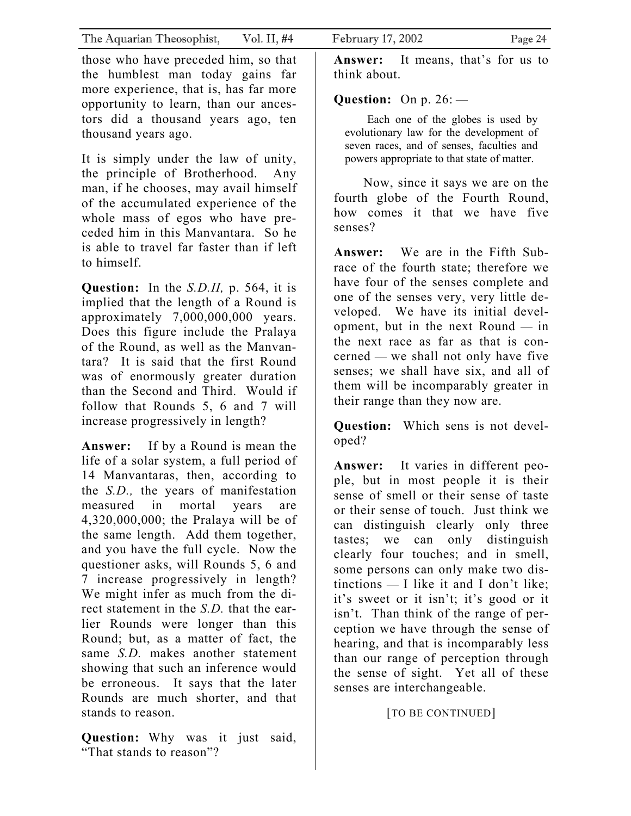those who have preceded him, so that the humblest man today gains far more experience, that is, has far more opportunity to learn, than our ancestors did a thousand years ago, ten thousand years ago.

It is simply under the law of unity, the principle of Brotherhood. Any man, if he chooses, may avail himself of the accumulated experience of the whole mass of egos who have preceded him in this Manvantara. So he is able to travel far faster than if left to himself.

**Question:** In the *S.D.II,* p. 564, it is implied that the length of a Round is approximately 7,000,000,000 years. Does this figure include the Pralaya of the Round, as well as the Manvantara? It is said that the first Round was of enormously greater duration than the Second and Third. Would if follow that Rounds 5, 6 and 7 will increase progressively in length?

**Answer:** If by a Round is mean the life of a solar system, a full period of 14 Manvantaras, then, according to the *S.D.,* the years of manifestation measured in mortal years are 4,320,000,000; the Pralaya will be of the same length. Add them together, and you have the full cycle. Now the questioner asks, will Rounds 5, 6 and 7 increase progressively in length? We might infer as much from the direct statement in the *S.D.* that the earlier Rounds were longer than this Round; but, as a matter of fact, the same *S.D.* makes another statement showing that such an inference would be erroneous. It says that the later Rounds are much shorter, and that stands to reason.

**Question:** Why was it just said, "That stands to reason"?

**Answer:** It means, that's for us to think about.

#### **Question:** On p. 26: —

Each one of the globes is used by evolutionary law for the development of seven races, and of senses, faculties and powers appropriate to that state of matter.

Now, since it says we are on the fourth globe of the Fourth Round, how comes it that we have five senses?

**Answer:** We are in the Fifth Subrace of the fourth state; therefore we have four of the senses complete and one of the senses very, very little developed. We have its initial development, but in the next Round — in the next race as far as that is concerned — we shall not only have five senses; we shall have six, and all of them will be incomparably greater in their range than they now are.

**Question:** Which sens is not developed?

**Answer:** It varies in different people, but in most people it is their sense of smell or their sense of taste or their sense of touch. Just think we can distinguish clearly only three tastes; we can only distinguish clearly four touches; and in smell, some persons can only make two distinctions — I like it and I don't like; it's sweet or it isn't; it's good or it isn't. Than think of the range of perception we have through the sense of hearing, and that is incomparably less than our range of perception through the sense of sight. Yet all of these senses are interchangeable.

[TO BE CONTINUED]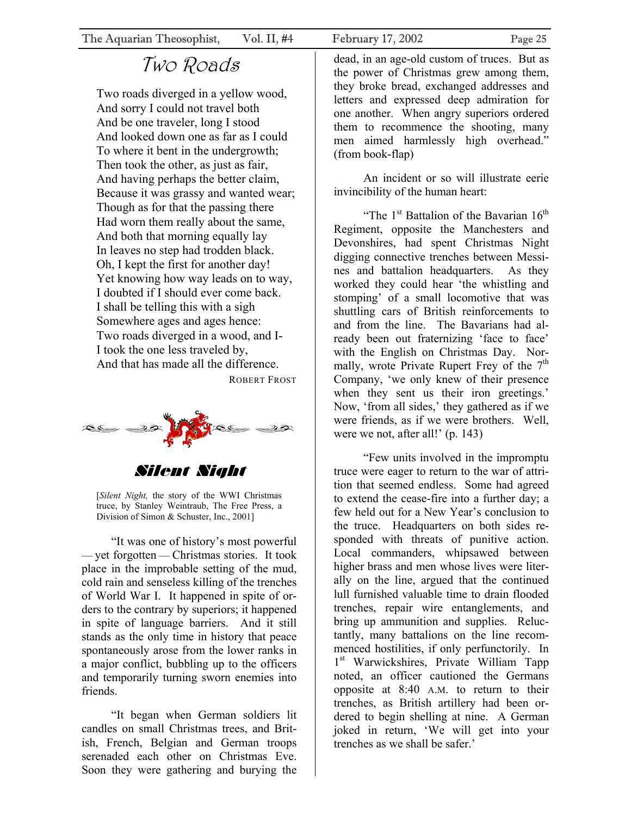# Two Roads

Two roads diverged in a yellow wood, And sorry I could not travel both And be one traveler, long I stood And looked down one as far as I could To where it bent in the undergrowth; Then took the other, as just as fair, And having perhaps the better claim, Because it was grassy and wanted wear; Though as for that the passing there Had worn them really about the same, And both that morning equally lay In leaves no step had trodden black. Oh, I kept the first for another day! Yet knowing how way leads on to way, I doubted if I should ever come back. I shall be telling this with a sigh Somewhere ages and ages hence: Two roads diverged in a wood, and I-I took the one less traveled by, And that has made all the difference.

ROBERT FROST



Silent Night

[*Silent Night,* the story of the WWI Christmas truce, by Stanley Weintraub, The Free Press, a Division of Simon & Schuster, Inc., 2001]

"It was one of history's most powerful — yet forgotten — Christmas stories. It took place in the improbable setting of the mud, cold rain and senseless killing of the trenches of World War I. It happened in spite of orders to the contrary by superiors; it happened in spite of language barriers. And it still stands as the only time in history that peace spontaneously arose from the lower ranks in a major conflict, bubbling up to the officers and temporarily turning sworn enemies into friends.

"It began when German soldiers lit candles on small Christmas trees, and British, French, Belgian and German troops serenaded each other on Christmas Eve. Soon they were gathering and burying the

dead, in an age-old custom of truces. But as the power of Christmas grew among them, they broke bread, exchanged addresses and letters and expressed deep admiration for one another. When angry superiors ordered them to recommence the shooting, many men aimed harmlessly high overhead." (from book-flap)

An incident or so will illustrate eerie invincibility of the human heart:

"The  $1<sup>st</sup>$  Battalion of the Bavarian  $16<sup>th</sup>$ Regiment, opposite the Manchesters and Devonshires, had spent Christmas Night digging connective trenches between Messines and battalion headquarters. As they worked they could hear 'the whistling and stomping' of a small locomotive that was shuttling cars of British reinforcements to and from the line. The Bavarians had already been out fraternizing 'face to face' with the English on Christmas Day. Normally, wrote Private Rupert Frey of the  $7<sup>th</sup>$ Company, 'we only knew of their presence when they sent us their iron greetings.' Now, 'from all sides,' they gathered as if we were friends, as if we were brothers. Well, were we not, after all!' (p. 143)

"Few units involved in the impromptu truce were eager to return to the war of attrition that seemed endless. Some had agreed to extend the cease-fire into a further day; a few held out for a New Year's conclusion to the truce. Headquarters on both sides responded with threats of punitive action. Local commanders, whipsawed between higher brass and men whose lives were literally on the line, argued that the continued lull furnished valuable time to drain flooded trenches, repair wire entanglements, and bring up ammunition and supplies. Reluctantly, many battalions on the line recommenced hostilities, if only perfunctorily. In 1<sup>st</sup> Warwickshires, Private William Tapp noted, an officer cautioned the Germans opposite at 8:40 A.M. to return to their trenches, as British artillery had been ordered to begin shelling at nine. A German joked in return, 'We will get into your trenches as we shall be safer.'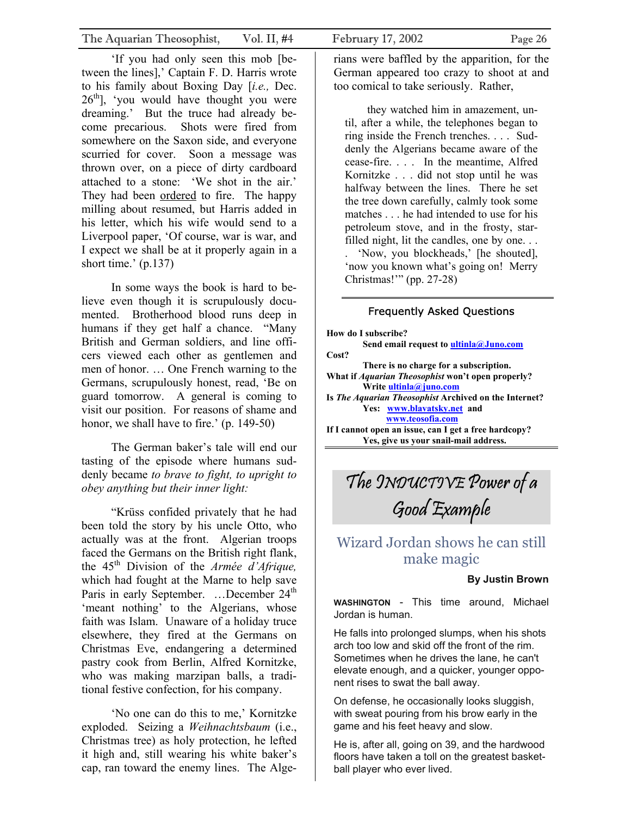'If you had only seen this mob [between the lines],' Captain F. D. Harris wrote to his family about Boxing Day [*i.e.,* Dec.  $26<sup>th</sup>$ ], 'you would have thought you were dreaming.' But the truce had already become precarious. Shots were fired from somewhere on the Saxon side, and everyone scurried for cover. Soon a message was thrown over, on a piece of dirty cardboard attached to a stone: 'We shot in the air.' They had been ordered to fire. The happy milling about resumed, but Harris added in his letter, which his wife would send to a Liverpool paper, 'Of course, war is war, and I expect we shall be at it properly again in a short time.' (p.137)

In some ways the book is hard to believe even though it is scrupulously documented. Brotherhood blood runs deep in humans if they get half a chance. "Many British and German soldiers, and line officers viewed each other as gentlemen and men of honor. … One French warning to the Germans, scrupulously honest, read, 'Be on guard tomorrow. A general is coming to visit our position. For reasons of shame and honor, we shall have to fire.' (p. 149-50)

The German baker's tale will end our tasting of the episode where humans suddenly became *to brave to fight, to upright to obey anything but their inner light:* 

"Krüss confided privately that he had been told the story by his uncle Otto, who actually was at the front. Algerian troops faced the Germans on the British right flank, the 45th Division of the *Armée d'Afrique,*  which had fought at the Marne to help save Paris in early September. ...December 24<sup>th</sup> 'meant nothing' to the Algerians, whose faith was Islam. Unaware of a holiday truce elsewhere, they fired at the Germans on Christmas Eve, endangering a determined pastry cook from Berlin, Alfred Kornitzke, who was making marzipan balls, a traditional festive confection, for his company.

'No one can do this to me,' Kornitzke exploded. Seizing a *Weihnachtsbaum* (i.e., Christmas tree) as holy protection, he lefted it high and, still wearing his white baker's cap, ran toward the enemy lines. The Algerians were baffled by the apparition, for the German appeared too crazy to shoot at and too comical to take seriously. Rather,

they watched him in amazement, until, after a while, the telephones began to ring inside the French trenches. . . . Suddenly the Algerians became aware of the cease-fire. . . . In the meantime, Alfred Kornitzke . . . did not stop until he was halfway between the lines. There he set the tree down carefully, calmly took some matches . . . he had intended to use for his petroleum stove, and in the frosty, starfilled night, lit the candles, one by one. . .

. 'Now, you blockheads,' [he shouted], 'now you known what's going on! Merry Christmas!'" (pp. 27-28)

#### Frequently Asked Questions

| How do I subscribe?                                          |
|--------------------------------------------------------------|
| Send email request to ultinla@Juno.com                       |
| Cost?                                                        |
| There is no charge for a subscription.                       |
| What if <i>Aquarian Theosophist</i> won't open properly?     |
| Write ultinla@juno.com                                       |
| Is <i>The Aquarian Theosophist</i> Archived on the Internet? |
| Yes: www.blavatsky.net and                                   |
| www.teosofia.com                                             |
| If I cannot open an issue, can I get a free hardcopy?        |
| Yes, give us your snail-mail address.                        |

# The INDUCTIVE Power of a Good Example

## Wizard Jordan shows he can still make magic

#### **By Justin Brown**

**WASHINGTON** - This time around, Michael Jordan is human.

He falls into prolonged slumps, when his shots arch too low and skid off the front of the rim. Sometimes when he drives the lane, he can't elevate enough, and a quicker, younger opponent rises to swat the ball away.

On defense, he occasionally looks sluggish, with sweat pouring from his brow early in the game and his feet heavy and slow.

He is, after all, going on 39, and the hardwood floors have taken a toll on the greatest basketball player who ever lived.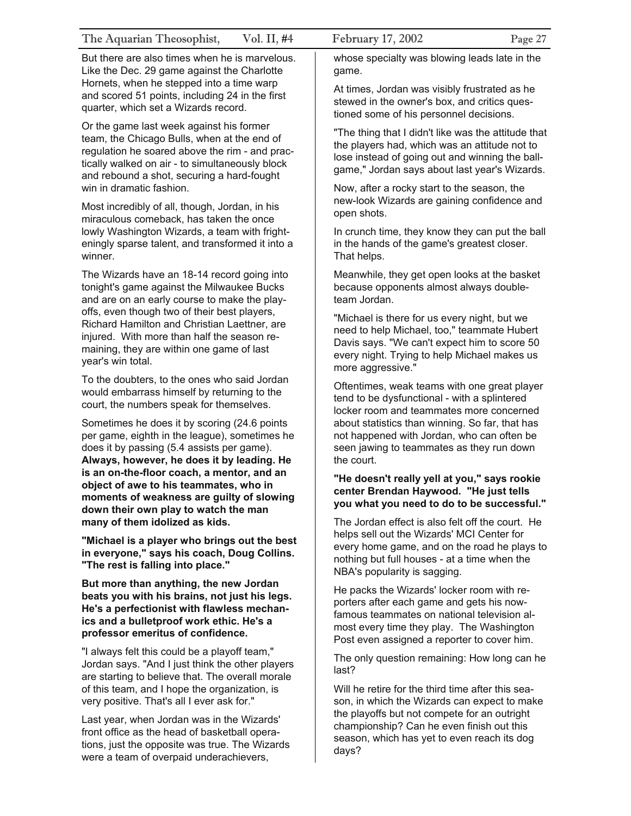But there are also times when he is marvelous. Like the Dec. 29 game against the Charlotte Hornets, when he stepped into a time warp and scored 51 points, including 24 in the first quarter, which set a Wizards record.

Or the game last week against his former team, the Chicago Bulls, when at the end of regulation he soared above the rim - and practically walked on air - to simultaneously block and rebound a shot, securing a hard-fought win in dramatic fashion.

Most incredibly of all, though, Jordan, in his miraculous comeback, has taken the once lowly Washington Wizards, a team with frighteningly sparse talent, and transformed it into a winner.

The Wizards have an 18-14 record going into tonight's game against the Milwaukee Bucks and are on an early course to make the playoffs, even though two of their best players, Richard Hamilton and Christian Laettner, are injured. With more than half the season remaining, they are within one game of last year's win total.

To the doubters, to the ones who said Jordan would embarrass himself by returning to the court, the numbers speak for themselves.

Sometimes he does it by scoring (24.6 points per game, eighth in the league), sometimes he does it by passing (5.4 assists per game). **Always, however, he does it by leading. He is an on-the-floor coach, a mentor, and an object of awe to his teammates, who in moments of weakness are guilty of slowing down their own play to watch the man many of them idolized as kids.**

**"Michael is a player who brings out the best in everyone," says his coach, Doug Collins. "The rest is falling into place."** 

**But more than anything, the new Jordan beats you with his brains, not just his legs. He's a perfectionist with flawless mechanics and a bulletproof work ethic. He's a professor emeritus of confidence.** 

"I always felt this could be a playoff team," Jordan says. "And I just think the other players are starting to believe that. The overall morale of this team, and I hope the organization, is very positive. That's all I ever ask for."

Last year, when Jordan was in the Wizards' front office as the head of basketball operations, just the opposite was true. The Wizards were a team of overpaid underachievers,

whose specialty was blowing leads late in the game.

At times, Jordan was visibly frustrated as he stewed in the owner's box, and critics questioned some of his personnel decisions.

"The thing that I didn't like was the attitude that the players had, which was an attitude not to lose instead of going out and winning the ballgame," Jordan says about last year's Wizards.

Now, after a rocky start to the season, the new-look Wizards are gaining confidence and open shots.

In crunch time, they know they can put the ball in the hands of the game's greatest closer. That helps.

Meanwhile, they get open looks at the basket because opponents almost always doubleteam Jordan.

"Michael is there for us every night, but we need to help Michael, too," teammate Hubert Davis says. "We can't expect him to score 50 every night. Trying to help Michael makes us more aggressive."

Oftentimes, weak teams with one great player tend to be dysfunctional - with a splintered locker room and teammates more concerned about statistics than winning. So far, that has not happened with Jordan, who can often be seen jawing to teammates as they run down the court.

#### **"He doesn't really yell at you," says rookie center Brendan Haywood. "He just tells you what you need to do to be successful."**

The Jordan effect is also felt off the court. He helps sell out the Wizards' MCI Center for every home game, and on the road he plays to nothing but full houses - at a time when the NBA's popularity is sagging.

He packs the Wizards' locker room with reporters after each game and gets his nowfamous teammates on national television almost every time they play. The Washington Post even assigned a reporter to cover him.

The only question remaining: How long can he last?

Will he retire for the third time after this season, in which the Wizards can expect to make the playoffs but not compete for an outright championship? Can he even finish out this season, which has yet to even reach its dog days?